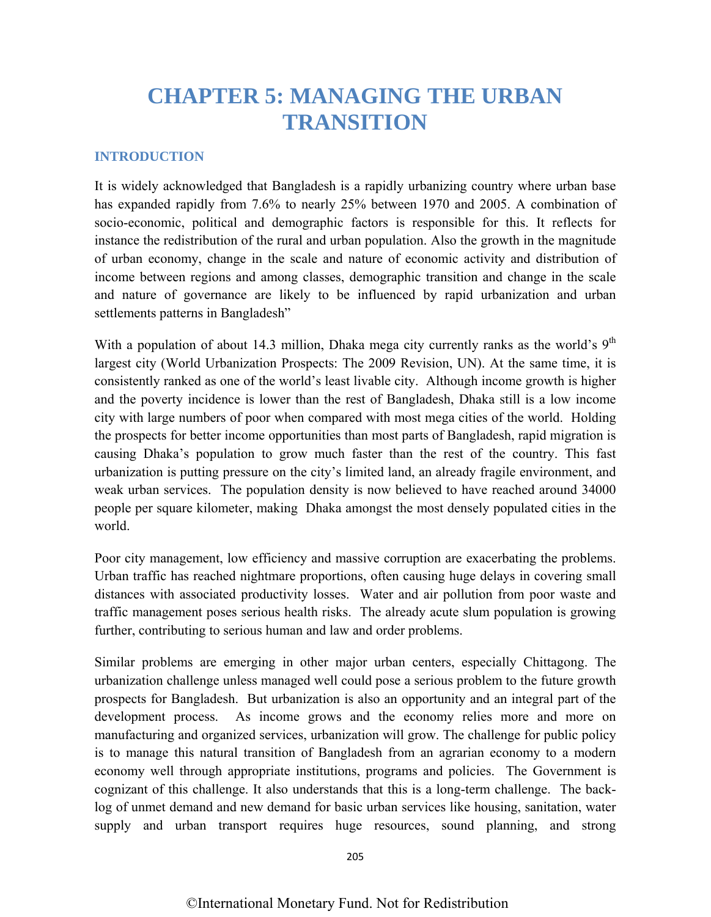# **[CHAPTER 5: MANAGING THE URBAN](#page--1-0)  TRANSITION**

#### **[INTRODUCTION](#page--1-0)**

It is widely acknowledged that Bangladesh is a rapidly urbanizing country where urban base has expanded rapidly from 7.6% to nearly 25% between 1970 and 2005. A combination of socio-economic, political and demographic factors is responsible for this. It reflects for instance the redistribution of the rural and urban population. Also the growth in the magnitude of urban economy, change in the scale and nature of economic activity and distribution of income between regions and among classes, demographic transition and change in the scale and nature of governance are likely to be influenced by rapid urbanization and urban settlements patterns in Bangladesh"

With a population of about 14.3 million, Dhaka mega city currently ranks as the world's  $9<sup>th</sup>$ largest city (World Urbanization Prospects: The 2009 Revision, UN). At the same time, it is consistently ranked as one of the world's least livable city. Although income growth is higher and the poverty incidence is lower than the rest of Bangladesh, Dhaka still is a low income city with large numbers of poor when compared with most mega cities of the world. Holding the prospects for better income opportunities than most parts of Bangladesh, rapid migration is causing Dhaka's population to grow much faster than the rest of the country. This fast urbanization is putting pressure on the city's limited land, an already fragile environment, and weak urban services. The population density is now believed to have reached around 34000 people per square kilometer, making Dhaka amongst the most densely populated cities in the world.

Poor city management, low efficiency and massive corruption are exacerbating the problems. Urban traffic has reached nightmare proportions, often causing huge delays in covering small distances with associated productivity losses. Water and air pollution from poor waste and traffic management poses serious health risks. The already acute slum population is growing further, contributing to serious human and law and order problems.

Similar problems are emerging in other major urban centers, especially Chittagong. The urbanization challenge unless managed well could pose a serious problem to the future growth prospects for Bangladesh. But urbanization is also an opportunity and an integral part of the development process. As income grows and the economy relies more and more on manufacturing and organized services, urbanization will grow. The challenge for public policy is to manage this natural transition of Bangladesh from an agrarian economy to a modern economy well through appropriate institutions, programs and policies. The Government is cognizant of this challenge. It also understands that this is a long-term challenge. The backlog of unmet demand and new demand for basic urban services like housing, sanitation, water supply and urban transport requires huge resources, sound planning, and strong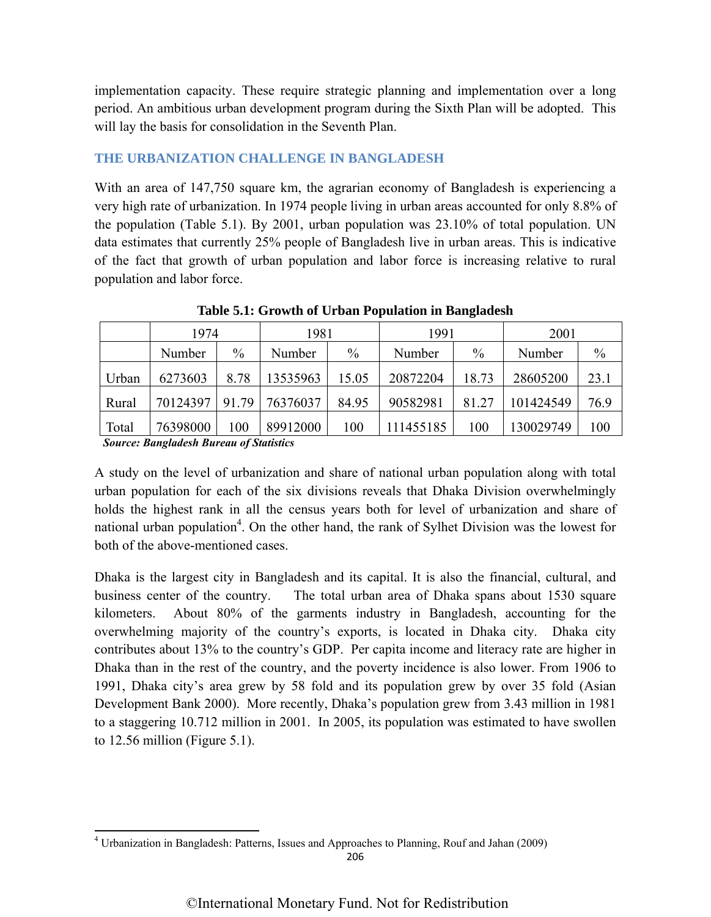implementation capacity. These require strategic planning and implementation over a long period. An ambitious urban development program during the Sixth Plan will be adopted. This will lay the basis for consolidation in the Seventh Plan.

## **[THE URBANIZATION CHALLENGE IN BANGLADESH](#page--1-0)**

With an area of 147,750 square km, the agrarian economy of Bangladesh is experiencing a very high rate of urbanization. In 1974 people living in urban areas accounted for only 8.8% of the population (Table 5.1). By 2001, urban population was 23.10% of total population. UN data estimates that currently 25% people of Bangladesh live in urban areas. This is indicative of the fact that growth of urban population and labor force is increasing relative to rural population and labor force.

|       | 1974     |       | 1981     |       | 1991      |       | 2001      |               |
|-------|----------|-------|----------|-------|-----------|-------|-----------|---------------|
|       | Number   | $\%$  | Number   | $\%$  | Number    | $\%$  | Number    | $\frac{0}{0}$ |
| Urban | 6273603  | 8.78  | 13535963 | 15.05 | 20872204  | 18.73 | 28605200  | 23.1          |
| Rural | 70124397 | 91.79 | 76376037 | 84.95 | 90582981  | 81.27 | 101424549 | 76.9          |
| Total | 76398000 | 100   | 89912000 | 100   | 111455185 | 100   | 130029749 | 100           |

**[Table 5.1: Growth of Urban Population in Bangladesh](#page--1-0)** 

 *Source: Bangladesh Bureau of Statistics* 

A study on the level of urbanization and share of national urban population along with total urban population for each of the six divisions reveals that Dhaka Division overwhelmingly holds the highest rank in all the census years both for level of urbanization and share of national urban population<sup>4</sup>. On the other hand, the rank of Sylhet Division was the lowest for both of the above-mentioned cases.

Dhaka is the largest city in Bangladesh and its capital. It is also the financial, cultural, and business center of the country. The total urban area of Dhaka spans about 1530 square kilometers. About 80% of the garments industry in Bangladesh, accounting for the overwhelming majority of the country's exports, is located in Dhaka city. Dhaka city contributes about 13% to the country's GDP. Per capita income and literacy rate are higher in Dhaka than in the rest of the country, and the poverty incidence is also lower. From 1906 to 1991, Dhaka city's area grew by 58 fold and its population grew by over 35 fold (Asian Development Bank 2000). More recently, Dhaka's population grew from 3.43 million in 1981 to a staggering 10.712 million in 2001. In 2005, its population was estimated to have swollen to 12.56 million (Figure 5.1).

206

 <sup>4</sup> Urbanization in Bangladesh: Patterns, Issues and Approaches to Planning, Rouf and Jahan (2009)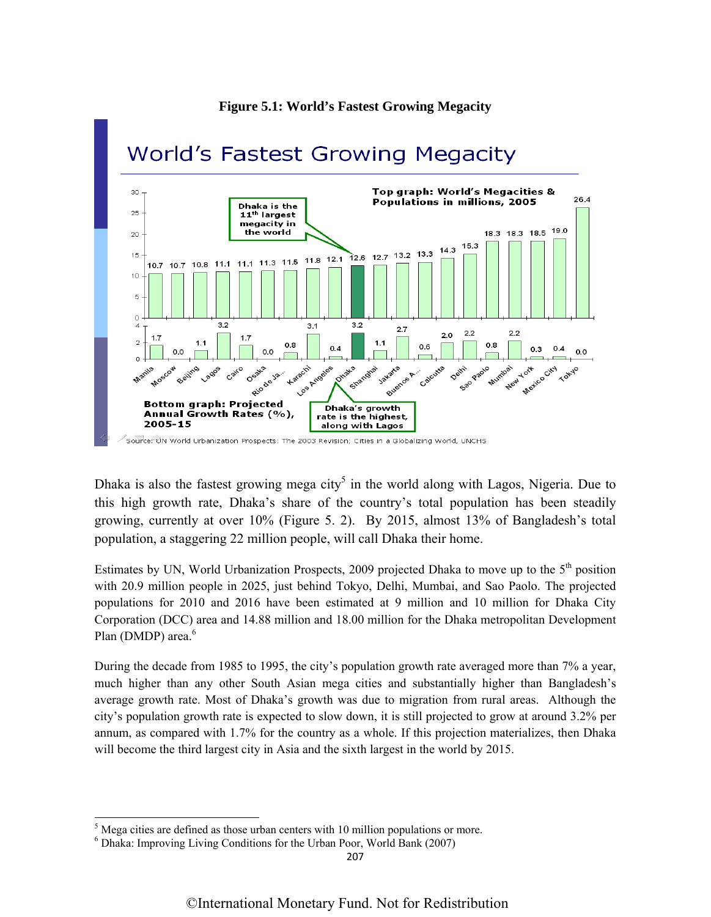

## Dhaka is also the fastest growing mega  $\text{city}^5$  in the world along with Lagos, Nigeria. Due to this high growth rate, Dhaka's share of the country's total population has been steadily growing, currently at over 10% (Figure 5. 2). By 2015, almost 13% of Bangladesh's total population, a staggering 22 million people, will call Dhaka their home.

Estimates by UN, World Urbanization Prospects, 2009 projected Dhaka to move up to the  $5<sup>th</sup>$  position with 20.9 million people in 2025, just behind Tokyo, Delhi, Mumbai, and Sao Paolo. The projected populations for 2010 and 2016 have been estimated at 9 million and 10 million for Dhaka City Corporation (DCC) area and 14.88 million and 18.00 million for the Dhaka metropolitan Development Plan (DMDP) area.<sup>6</sup>

During the decade from 1985 to 1995, the city's population growth rate averaged more than 7% a year, much higher than any other South Asian mega cities and substantially higher than Bangladesh's average growth rate. Most of Dhaka's growth was due to migration from rural areas. Although the city's population growth rate is expected to slow down, it is still projected to grow at around 3.2% per annum, as compared with 1.7% for the country as a whole. If this projection materializes, then Dhaka will become the third largest city in Asia and the sixth largest in the world by 2015.

<sup>&</sup>lt;sup>5</sup> Mega cities are defined as those urban centers with 10 million populations or more.

<sup>6</sup> Dhaka: Improving Living Conditions for the Urban Poor, World Bank (2007)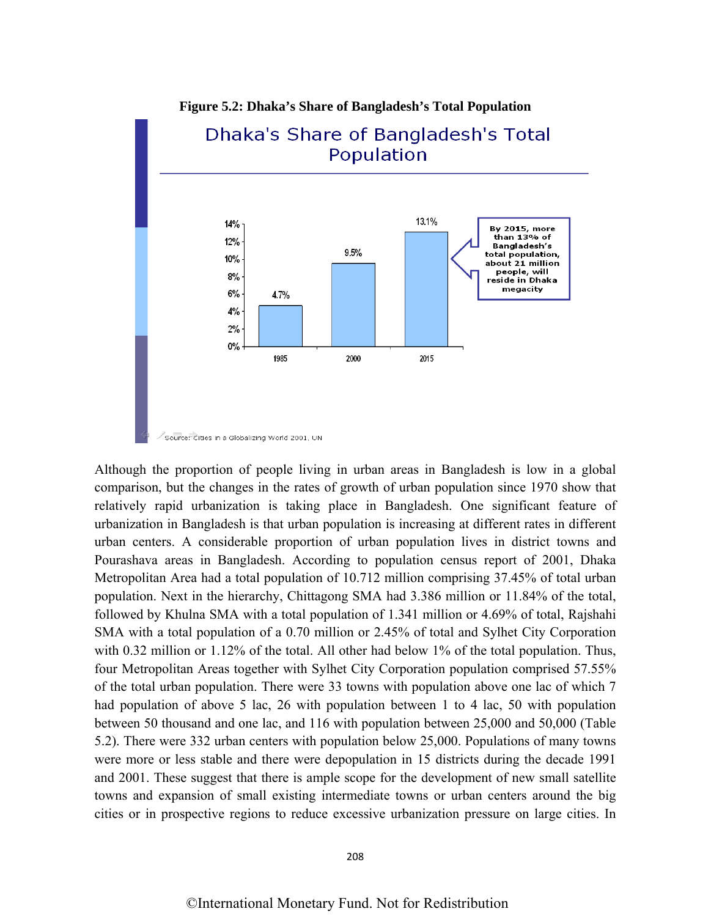

#### **[Figure 5.2: Dhaka's Share of Bangladesh's Total Population](#page--1-0)**

Although the proportion of people living in urban areas in Bangladesh is low in a global comparison, but the changes in the rates of growth of urban population since 1970 show that relatively rapid urbanization is taking place in Bangladesh. One significant feature of urbanization in Bangladesh is that urban population is increasing at different rates in different urban centers. A considerable proportion of urban population lives in district towns and Pourashava areas in Bangladesh. According to population census report of 2001, Dhaka Metropolitan Area had a total population of 10.712 million comprising 37.45% of total urban population. Next in the hierarchy, Chittagong SMA had 3.386 million or 11.84% of the total, followed by Khulna SMA with a total population of 1.341 million or 4.69% of total, Rajshahi SMA with a total population of a 0.70 million or 2.45% of total and Sylhet City Corporation with 0.32 million or 1.12% of the total. All other had below 1% of the total population. Thus, four Metropolitan Areas together with Sylhet City Corporation population comprised 57.55% of the total urban population. There were 33 towns with population above one lac of which 7 had population of above 5 lac, 26 with population between 1 to 4 lac, 50 with population between 50 thousand and one lac, and 116 with population between 25,000 and 50,000 (Table 5.2). There were 332 urban centers with population below 25,000. Populations of many towns were more or less stable and there were depopulation in 15 districts during the decade 1991 and 2001. These suggest that there is ample scope for the development of new small satellite towns and expansion of small existing intermediate towns or urban centers around the big cities or in prospective regions to reduce excessive urbanization pressure on large cities. In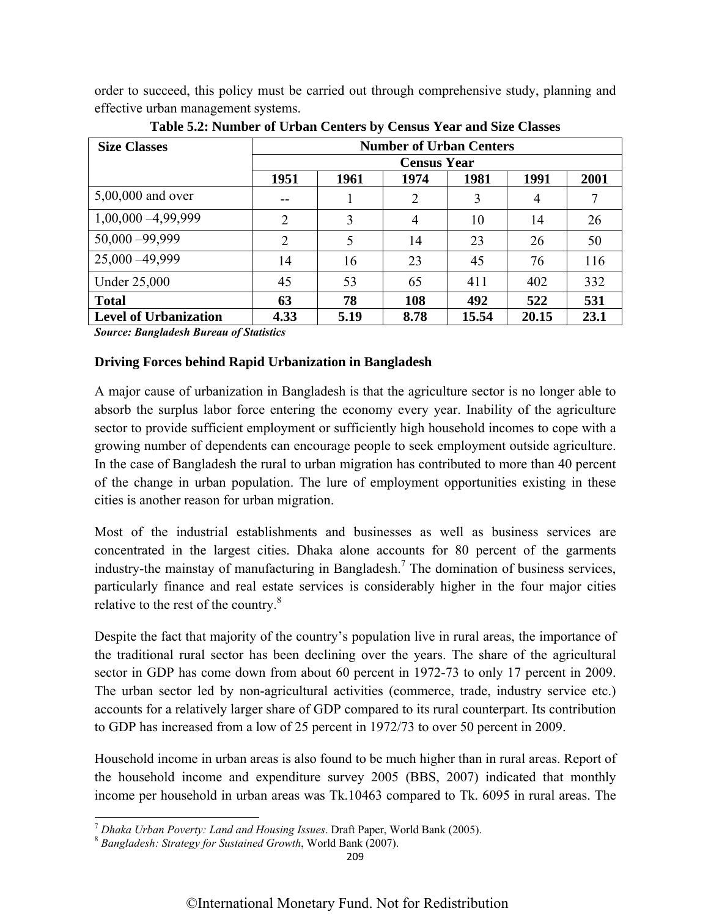order to succeed, this policy must be carried out through comprehensive study, planning and effective urban management systems.

| <b>Size Classes</b>          | <b>Number of Urban Centers</b> |      |                |       |       |      |
|------------------------------|--------------------------------|------|----------------|-------|-------|------|
|                              | <b>Census Year</b>             |      |                |       |       |      |
|                              | 1951                           | 1961 | 1974           | 1981  | 1991  | 2001 |
| $5,00,000$ and over          |                                |      | $\overline{2}$ | 3     | 4     |      |
| $1,00,000 - 4,99,999$        | $\overline{2}$                 | 3    | 4              | 10    | 14    | 26   |
| $50,000 - 99,999$            | $\overline{2}$                 | 5    | 14             | 23    | 26    | 50   |
| 25,000 - 49,999              | 14                             | 16   | 23             | 45    | 76    | 116  |
| <b>Under 25,000</b>          | 45                             | 53   | 65             | 411   | 402   | 332  |
| <b>Total</b>                 | 63                             | 78   | 108            | 492   | 522   | 531  |
| <b>Level of Urbanization</b> | 4.33                           | 5.19 | 8.78           | 15.54 | 20.15 | 23.1 |

**[Table 5.2: Number of Urban Centers by Census Year and Size Classes](#page--1-0)** 

*Source: Bangladesh Bureau of Statistics* 

#### **Driving Forces behind Rapid Urbanization in Bangladesh**

A major cause of urbanization in Bangladesh is that the agriculture sector is no longer able to absorb the surplus labor force entering the economy every year. Inability of the agriculture sector to provide sufficient employment or sufficiently high household incomes to cope with a growing number of dependents can encourage people to seek employment outside agriculture. In the case of Bangladesh the rural to urban migration has contributed to more than 40 percent of the change in urban population. The lure of employment opportunities existing in these cities is another reason for urban migration.

Most of the industrial establishments and businesses as well as business services are concentrated in the largest cities. Dhaka alone accounts for 80 percent of the garments industry-the mainstay of manufacturing in Bangladesh.<sup>7</sup> The domination of business services, particularly finance and real estate services is considerably higher in the four major cities relative to the rest of the country.<sup>8</sup>

Despite the fact that majority of the country's population live in rural areas, the importance of the traditional rural sector has been declining over the years. The share of the agricultural sector in GDP has come down from about 60 percent in 1972-73 to only 17 percent in 2009. The urban sector led by non-agricultural activities (commerce, trade, industry service etc.) accounts for a relatively larger share of GDP compared to its rural counterpart. Its contribution to GDP has increased from a low of 25 percent in 1972/73 to over 50 percent in 2009.

Household income in urban areas is also found to be much higher than in rural areas. Report of the household income and expenditure survey 2005 (BBS, 2007) indicated that monthly income per household in urban areas was Tk.10463 compared to Tk. 6095 in rural areas. The

 <sup>7</sup> *Dhaka Urban Poverty: Land and Housing Issues*. Draft Paper, World Bank (2005). 8 *Bangladesh: Strategy for Sustained Growth*, World Bank (2007).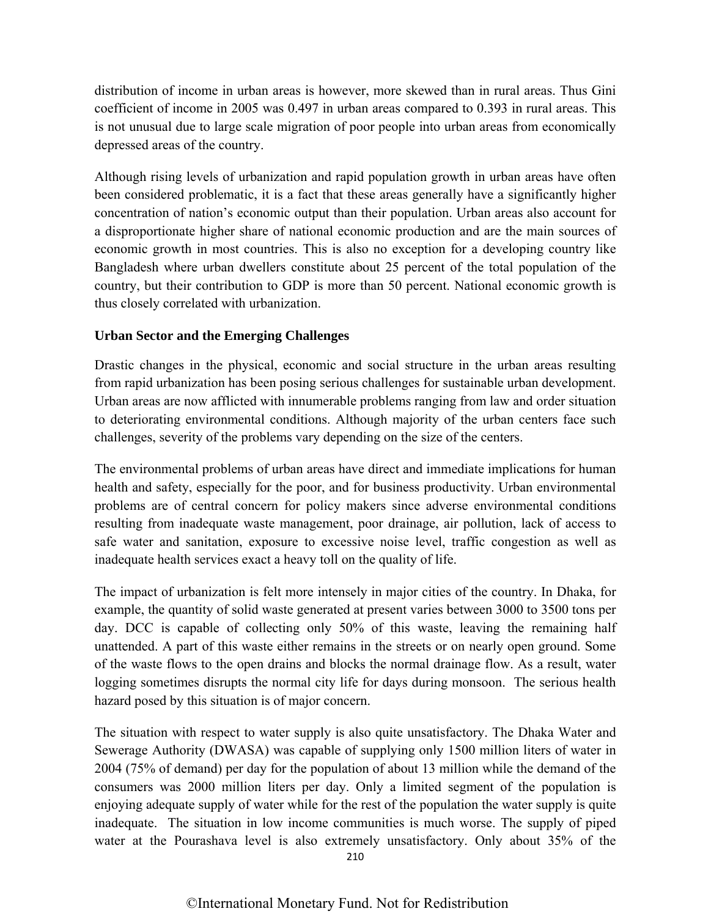distribution of income in urban areas is however, more skewed than in rural areas. Thus Gini coefficient of income in 2005 was 0.497 in urban areas compared to 0.393 in rural areas. This is not unusual due to large scale migration of poor people into urban areas from economically depressed areas of the country.

Although rising levels of urbanization and rapid population growth in urban areas have often been considered problematic, it is a fact that these areas generally have a significantly higher concentration of nation's economic output than their population. Urban areas also account for a disproportionate higher share of national economic production and are the main sources of economic growth in most countries. This is also no exception for a developing country like Bangladesh where urban dwellers constitute about 25 percent of the total population of the country, but their contribution to GDP is more than 50 percent. National economic growth is thus closely correlated with urbanization.

## **Urban Sector and the Emerging Challenges**

Drastic changes in the physical, economic and social structure in the urban areas resulting from rapid urbanization has been posing serious challenges for sustainable urban development. Urban areas are now afflicted with innumerable problems ranging from law and order situation to deteriorating environmental conditions. Although majority of the urban centers face such challenges, severity of the problems vary depending on the size of the centers.

The environmental problems of urban areas have direct and immediate implications for human health and safety, especially for the poor, and for business productivity. Urban environmental problems are of central concern for policy makers since adverse environmental conditions resulting from inadequate waste management, poor drainage, air pollution, lack of access to safe water and sanitation, exposure to excessive noise level, traffic congestion as well as inadequate health services exact a heavy toll on the quality of life.

The impact of urbanization is felt more intensely in major cities of the country. In Dhaka, for example, the quantity of solid waste generated at present varies between 3000 to 3500 tons per day. DCC is capable of collecting only 50% of this waste, leaving the remaining half unattended. A part of this waste either remains in the streets or on nearly open ground. Some of the waste flows to the open drains and blocks the normal drainage flow. As a result, water logging sometimes disrupts the normal city life for days during monsoon. The serious health hazard posed by this situation is of major concern.

The situation with respect to water supply is also quite unsatisfactory. The Dhaka Water and Sewerage Authority (DWASA) was capable of supplying only 1500 million liters of water in 2004 (75% of demand) per day for the population of about 13 million while the demand of the consumers was 2000 million liters per day. Only a limited segment of the population is enjoying adequate supply of water while for the rest of the population the water supply is quite inadequate. The situation in low income communities is much worse. The supply of piped water at the Pourashava level is also extremely unsatisfactory. Only about 35% of the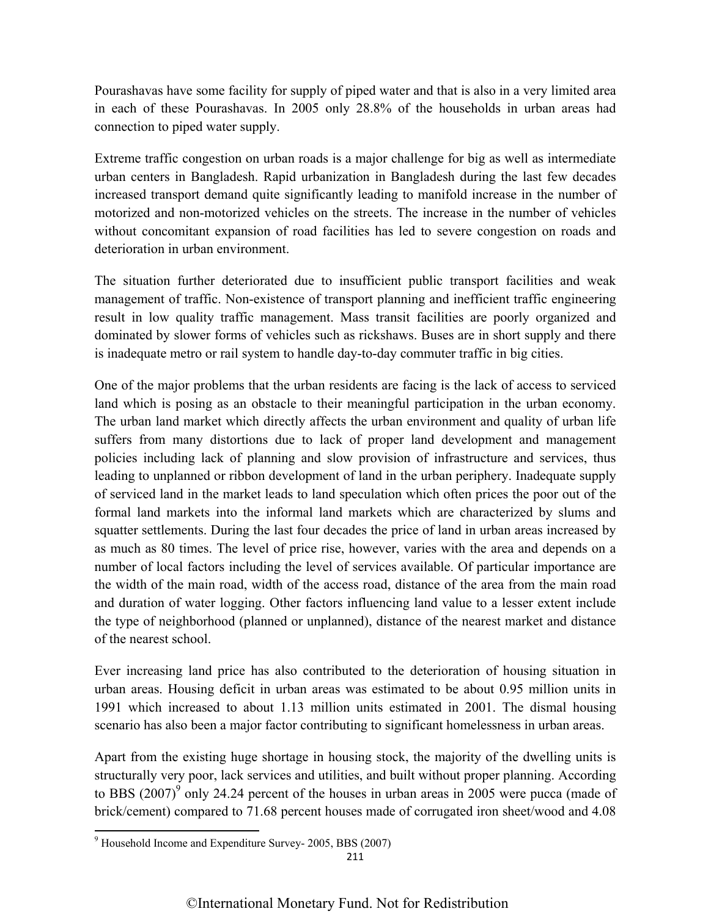Pourashavas have some facility for supply of piped water and that is also in a very limited area in each of these Pourashavas. In 2005 only 28.8% of the households in urban areas had connection to piped water supply.

Extreme traffic congestion on urban roads is a major challenge for big as well as intermediate urban centers in Bangladesh. Rapid urbanization in Bangladesh during the last few decades increased transport demand quite significantly leading to manifold increase in the number of motorized and non-motorized vehicles on the streets. The increase in the number of vehicles without concomitant expansion of road facilities has led to severe congestion on roads and deterioration in urban environment.

The situation further deteriorated due to insufficient public transport facilities and weak management of traffic. Non-existence of transport planning and inefficient traffic engineering result in low quality traffic management. Mass transit facilities are poorly organized and dominated by slower forms of vehicles such as rickshaws. Buses are in short supply and there is inadequate metro or rail system to handle day-to-day commuter traffic in big cities.

One of the major problems that the urban residents are facing is the lack of access to serviced land which is posing as an obstacle to their meaningful participation in the urban economy. The urban land market which directly affects the urban environment and quality of urban life suffers from many distortions due to lack of proper land development and management policies including lack of planning and slow provision of infrastructure and services, thus leading to unplanned or ribbon development of land in the urban periphery. Inadequate supply of serviced land in the market leads to land speculation which often prices the poor out of the formal land markets into the informal land markets which are characterized by slums and squatter settlements. During the last four decades the price of land in urban areas increased by as much as 80 times. The level of price rise, however, varies with the area and depends on a number of local factors including the level of services available. Of particular importance are the width of the main road, width of the access road, distance of the area from the main road and duration of water logging. Other factors influencing land value to a lesser extent include the type of neighborhood (planned or unplanned), distance of the nearest market and distance of the nearest school.

Ever increasing land price has also contributed to the deterioration of housing situation in urban areas. Housing deficit in urban areas was estimated to be about 0.95 million units in 1991 which increased to about 1.13 million units estimated in 2001. The dismal housing scenario has also been a major factor contributing to significant homelessness in urban areas.

Apart from the existing huge shortage in housing stock, the majority of the dwelling units is structurally very poor, lack services and utilities, and built without proper planning. According to BBS  $(2007)^9$  only 24.24 percent of the houses in urban areas in 2005 were pucca (made of brick/cement) compared to 71.68 percent houses made of corrugated iron sheet/wood and 4.08

 9 Household Income and Expenditure Survey- 2005, BBS (2007)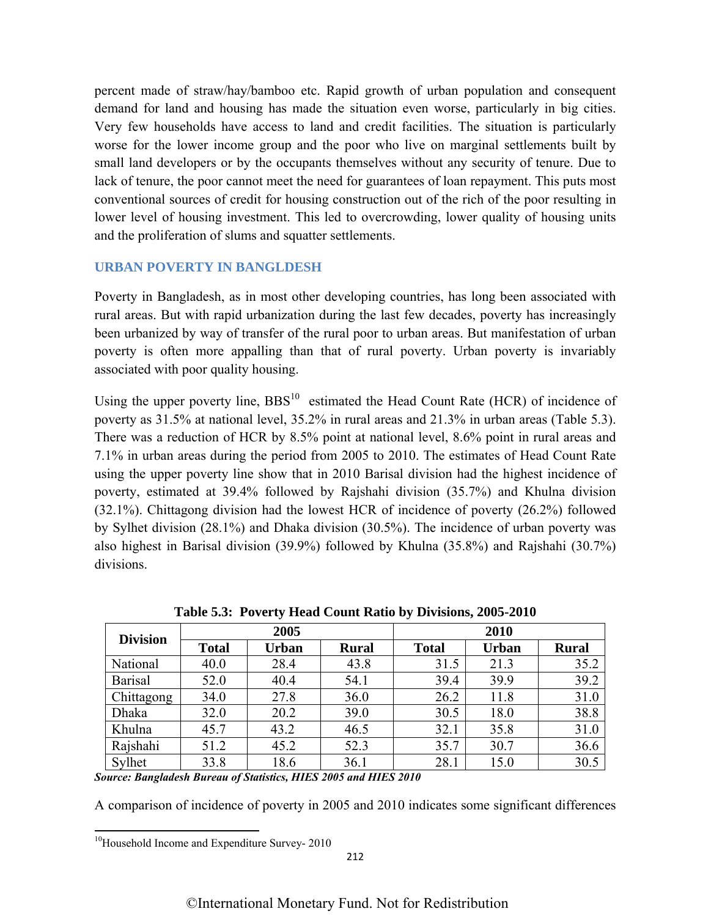percent made of straw/hay/bamboo etc. Rapid growth of urban population and consequent demand for land and housing has made the situation even worse, particularly in big cities. Very few households have access to land and credit facilities. The situation is particularly worse for the lower income group and the poor who live on marginal settlements built by small land developers or by the occupants themselves without any security of tenure. Due to lack of tenure, the poor cannot meet the need for guarantees of loan repayment. This puts most conventional sources of credit for housing construction out of the rich of the poor resulting in lower level of housing investment. This led to overcrowding, lower quality of housing units and the proliferation of slums and squatter settlements.

#### **[URBAN POVERTY IN BANGLDESH](#page--1-0)**

Poverty in Bangladesh, as in most other developing countries, has long been associated with rural areas. But with rapid urbanization during the last few decades, poverty has increasingly been urbanized by way of transfer of the rural poor to urban areas. But manifestation of urban poverty is often more appalling than that of rural poverty. Urban poverty is invariably associated with poor quality housing.

Using the upper poverty line,  $BBS<sup>10</sup>$  estimated the Head Count Rate (HCR) of incidence of poverty as 31.5% at national level, 35.2% in rural areas and 21.3% in urban areas (Table 5.3). There was a reduction of HCR by 8.5% point at national level, 8.6% point in rural areas and 7.1% in urban areas during the period from 2005 to 2010. The estimates of Head Count Rate using the upper poverty line show that in 2010 Barisal division had the highest incidence of poverty, estimated at 39.4% followed by Rajshahi division (35.7%) and Khulna division (32.1%). Chittagong division had the lowest HCR of incidence of poverty (26.2%) followed by Sylhet division (28.1%) and Dhaka division (30.5%). The incidence of urban poverty was also highest in Barisal division (39.9%) followed by Khulna (35.8%) and Rajshahi (30.7%) divisions.

| <b>Division</b> |              | 2005         |              | 2010         |              |              |
|-----------------|--------------|--------------|--------------|--------------|--------------|--------------|
|                 | <b>Total</b> | <b>Urban</b> | <b>Rural</b> | <b>Total</b> | <b>Urban</b> | <b>Rural</b> |
| National        | 40.0         | 28.4         | 43.8         | 31.5         | 21.3         | 35.2         |
| <b>Barisal</b>  | 52.0         | 40.4         | 54.1         | 39.4         | 39.9         | 39.2         |
| Chittagong      | 34.0         | 27.8         | 36.0         | 26.2         | 11.8         | 31.0         |
| Dhaka           | 32.0         | 20.2         | 39.0         | 30.5         | 18.0         | 38.8         |
| Khulna          | 45.7         | 43.2         | 46.5         | 32.1         | 35.8         | 31.0         |
| Rajshahi        | 51.2         | 45.2         | 52.3         | 35.7         | 30.7         | 36.6         |
| Sylhet          | 33.8         | 18.6         | 36.1         | 28.1         | 15.0         | 30.5         |

**[Table 5.3: Poverty Head Count Ratio by Divisions, 2005-2010](#page--1-0)** 

*Source: Bangladesh Bureau of Statistics, HIES 2005 and HIES 2010* 

A comparison of incidence of poverty in 2005 and 2010 indicates some significant differences

 <sup>10</sup>Household Income and Expenditure Survey-2010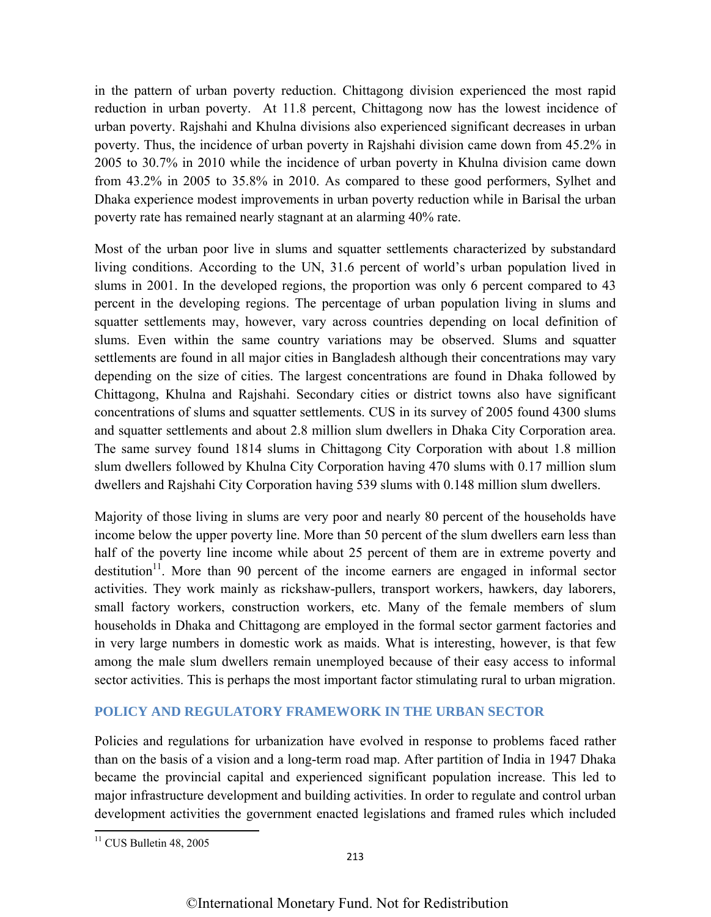in the pattern of urban poverty reduction. Chittagong division experienced the most rapid reduction in urban poverty. At 11.8 percent, Chittagong now has the lowest incidence of urban poverty. Rajshahi and Khulna divisions also experienced significant decreases in urban poverty. Thus, the incidence of urban poverty in Rajshahi division came down from 45.2% in 2005 to 30.7% in 2010 while the incidence of urban poverty in Khulna division came down from 43.2% in 2005 to 35.8% in 2010. As compared to these good performers, Sylhet and Dhaka experience modest improvements in urban poverty reduction while in Barisal the urban poverty rate has remained nearly stagnant at an alarming 40% rate.

Most of the urban poor live in slums and squatter settlements characterized by substandard living conditions. According to the UN, 31.6 percent of world's urban population lived in slums in 2001. In the developed regions, the proportion was only 6 percent compared to 43 percent in the developing regions. The percentage of urban population living in slums and squatter settlements may, however, vary across countries depending on local definition of slums. Even within the same country variations may be observed. Slums and squatter settlements are found in all major cities in Bangladesh although their concentrations may vary depending on the size of cities. The largest concentrations are found in Dhaka followed by Chittagong, Khulna and Rajshahi. Secondary cities or district towns also have significant concentrations of slums and squatter settlements. CUS in its survey of 2005 found 4300 slums and squatter settlements and about 2.8 million slum dwellers in Dhaka City Corporation area. The same survey found 1814 slums in Chittagong City Corporation with about 1.8 million slum dwellers followed by Khulna City Corporation having 470 slums with 0.17 million slum dwellers and Rajshahi City Corporation having 539 slums with 0.148 million slum dwellers.

Majority of those living in slums are very poor and nearly 80 percent of the households have income below the upper poverty line. More than 50 percent of the slum dwellers earn less than half of the poverty line income while about 25 percent of them are in extreme poverty and destitution<sup>11</sup>. More than 90 percent of the income earners are engaged in informal sector activities. They work mainly as rickshaw-pullers, transport workers, hawkers, day laborers, small factory workers, construction workers, etc. Many of the female members of slum households in Dhaka and Chittagong are employed in the formal sector garment factories and in very large numbers in domestic work as maids. What is interesting, however, is that few among the male slum dwellers remain unemployed because of their easy access to informal sector activities. This is perhaps the most important factor stimulating rural to urban migration.

#### **[POLICY AND REGULATORY FRAMEWORK IN THE URBAN SECTOR](#page--1-0)**

Policies and regulations for urbanization have evolved in response to problems faced rather than on the basis of a vision and a long-term road map. After partition of India in 1947 Dhaka became the provincial capital and experienced significant population increase. This led to major infrastructure development and building activities. In order to regulate and control urban development activities the government enacted legislations and framed rules which included

  $11$  CUS Bulletin 48, 2005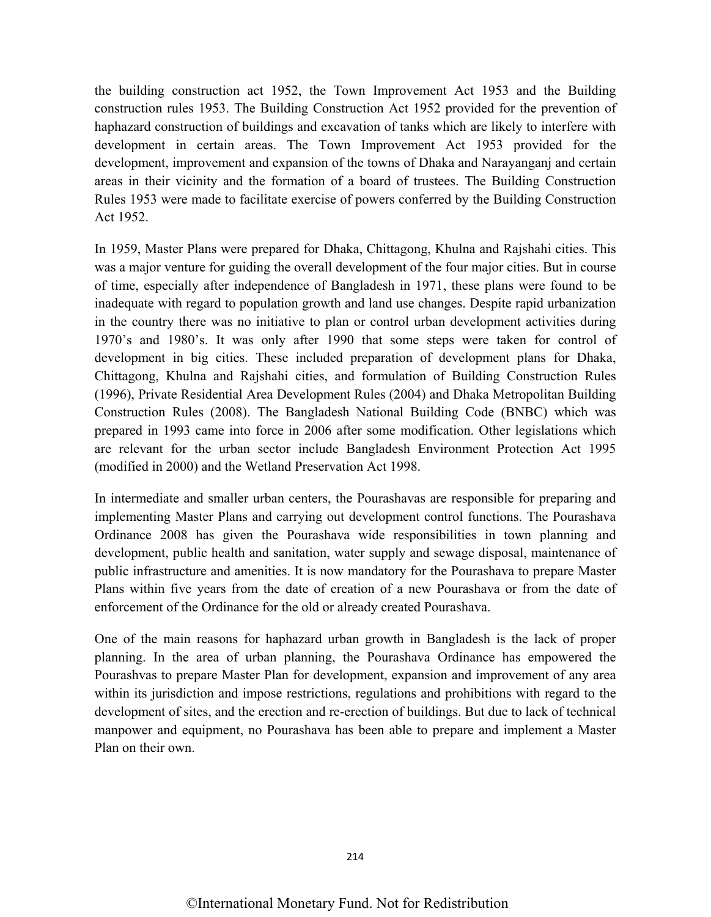the building construction act 1952, the Town Improvement Act 1953 and the Building construction rules 1953. The Building Construction Act 1952 provided for the prevention of haphazard construction of buildings and excavation of tanks which are likely to interfere with development in certain areas. The Town Improvement Act 1953 provided for the development, improvement and expansion of the towns of Dhaka and Narayanganj and certain areas in their vicinity and the formation of a board of trustees. The Building Construction Rules 1953 were made to facilitate exercise of powers conferred by the Building Construction Act 1952.

In 1959, Master Plans were prepared for Dhaka, Chittagong, Khulna and Rajshahi cities. This was a major venture for guiding the overall development of the four major cities. But in course of time, especially after independence of Bangladesh in 1971, these plans were found to be inadequate with regard to population growth and land use changes. Despite rapid urbanization in the country there was no initiative to plan or control urban development activities during 1970's and 1980's. It was only after 1990 that some steps were taken for control of development in big cities. These included preparation of development plans for Dhaka, Chittagong, Khulna and Rajshahi cities, and formulation of Building Construction Rules (1996), Private Residential Area Development Rules (2004) and Dhaka Metropolitan Building Construction Rules (2008). The Bangladesh National Building Code (BNBC) which was prepared in 1993 came into force in 2006 after some modification. Other legislations which are relevant for the urban sector include Bangladesh Environment Protection Act 1995 (modified in 2000) and the Wetland Preservation Act 1998.

In intermediate and smaller urban centers, the Pourashavas are responsible for preparing and implementing Master Plans and carrying out development control functions. The Pourashava Ordinance 2008 has given the Pourashava wide responsibilities in town planning and development, public health and sanitation, water supply and sewage disposal, maintenance of public infrastructure and amenities. It is now mandatory for the Pourashava to prepare Master Plans within five years from the date of creation of a new Pourashava or from the date of enforcement of the Ordinance for the old or already created Pourashava.

One of the main reasons for haphazard urban growth in Bangladesh is the lack of proper planning. In the area of urban planning, the Pourashava Ordinance has empowered the Pourashvas to prepare Master Plan for development, expansion and improvement of any area within its jurisdiction and impose restrictions, regulations and prohibitions with regard to the development of sites, and the erection and re-erection of buildings. But due to lack of technical manpower and equipment, no Pourashava has been able to prepare and implement a Master Plan on their own.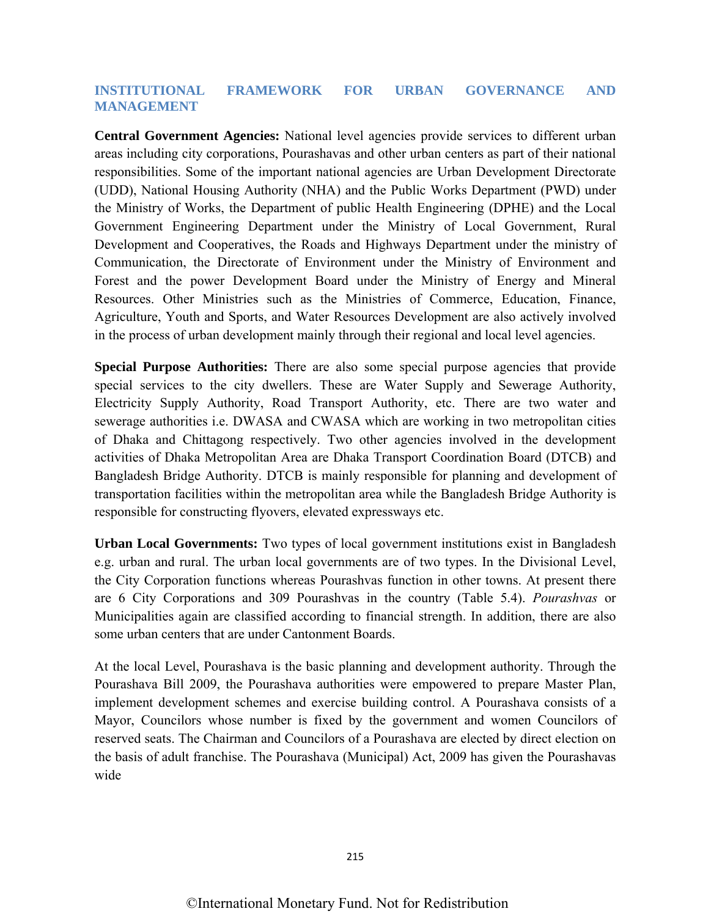#### **[INSTITUTIONAL FRAMEWORK FOR URBAN GOVERNANCE AND](#page--1-0) MANAGEMENT**

**Central Government Agencies:** National level agencies provide services to different urban areas including city corporations, Pourashavas and other urban centers as part of their national responsibilities. Some of the important national agencies are Urban Development Directorate (UDD), National Housing Authority (NHA) and the Public Works Department (PWD) under the Ministry of Works, the Department of public Health Engineering (DPHE) and the Local Government Engineering Department under the Ministry of Local Government, Rural Development and Cooperatives, the Roads and Highways Department under the ministry of Communication, the Directorate of Environment under the Ministry of Environment and Forest and the power Development Board under the Ministry of Energy and Mineral Resources. Other Ministries such as the Ministries of Commerce, Education, Finance, Agriculture, Youth and Sports, and Water Resources Development are also actively involved in the process of urban development mainly through their regional and local level agencies.

**Special Purpose Authorities:** There are also some special purpose agencies that provide special services to the city dwellers. These are Water Supply and Sewerage Authority, Electricity Supply Authority, Road Transport Authority, etc. There are two water and sewerage authorities i.e. DWASA and CWASA which are working in two metropolitan cities of Dhaka and Chittagong respectively. Two other agencies involved in the development activities of Dhaka Metropolitan Area are Dhaka Transport Coordination Board (DTCB) and Bangladesh Bridge Authority. DTCB is mainly responsible for planning and development of transportation facilities within the metropolitan area while the Bangladesh Bridge Authority is responsible for constructing flyovers, elevated expressways etc.

**Urban Local Governments:** Two types of local government institutions exist in Bangladesh e.g. urban and rural. The urban local governments are of two types. In the Divisional Level, the City Corporation functions whereas Pourashvas function in other towns. At present there are 6 City Corporations and 309 Pourashvas in the country (Table 5.4). *Pourashvas* or Municipalities again are classified according to financial strength. In addition, there are also some urban centers that are under Cantonment Boards.

At the local Level, Pourashava is the basic planning and development authority. Through the Pourashava Bill 2009, the Pourashava authorities were empowered to prepare Master Plan, implement development schemes and exercise building control. A Pourashava consists of a Mayor, Councilors whose number is fixed by the government and women Councilors of reserved seats. The Chairman and Councilors of a Pourashava are elected by direct election on the basis of adult franchise. The Pourashava (Municipal) Act, 2009 has given the Pourashavas wide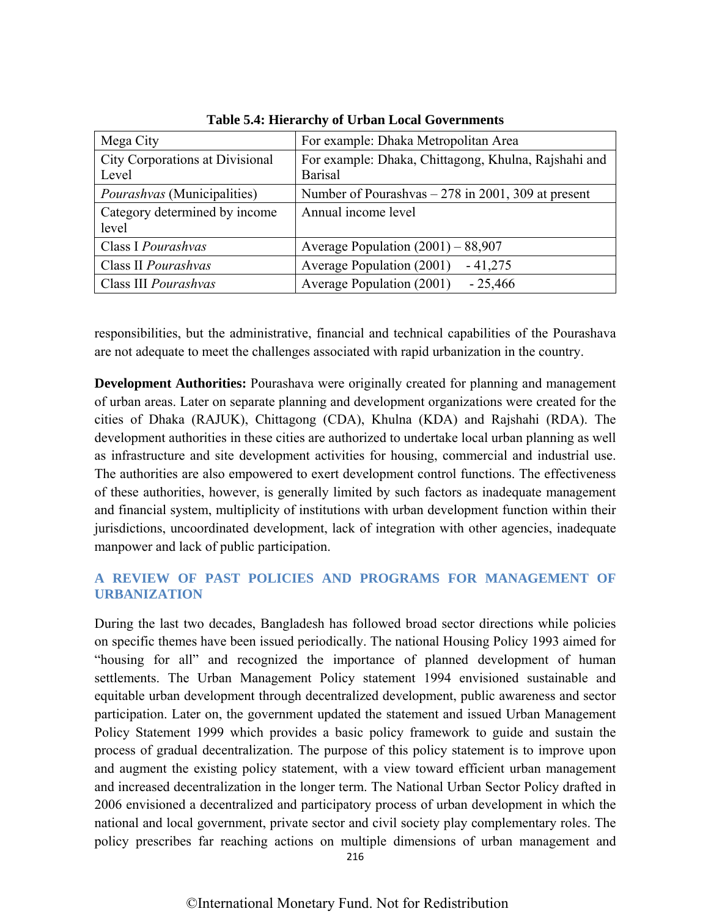| Mega City                                       | For example: Dhaka Metropolitan Area                                   |
|-------------------------------------------------|------------------------------------------------------------------------|
| <b>City Corporations at Divisional</b><br>Level | For example: Dhaka, Chittagong, Khulna, Rajshahi and<br><b>Barisal</b> |
| <i>Pourashvas</i> (Municipalities)              | Number of Pourashvas $-278$ in 2001, 309 at present                    |
| Category determined by income<br>level          | Annual income level                                                    |
|                                                 |                                                                        |
| Class I Pourashvas                              | Average Population $(2001) - 88,907$                                   |
| Class II Pourashvas                             | Average Population (2001)<br>$-41,275$                                 |
| Class III Pourashvas                            | Average Population (2001)<br>$-25,466$                                 |

**[Table 5.4: Hierarchy of Urban Local Governments](#page--1-0)** 

responsibilities, but the administrative, financial and technical capabilities of the Pourashava are not adequate to meet the challenges associated with rapid urbanization in the country.

**Development Authorities:** Pourashava were originally created for planning and management of urban areas. Later on separate planning and development organizations were created for the cities of Dhaka (RAJUK), Chittagong (CDA), Khulna (KDA) and Rajshahi (RDA). The development authorities in these cities are authorized to undertake local urban planning as well as infrastructure and site development activities for housing, commercial and industrial use. The authorities are also empowered to exert development control functions. The effectiveness of these authorities, however, is generally limited by such factors as inadequate management and financial system, multiplicity of institutions with urban development function within their jurisdictions, uncoordinated development, lack of integration with other agencies, inadequate manpower and lack of public participation.

## **[A REVIEW OF PAST POLICIES AND PROGRAMS FOR MANAGEMENT OF](#page--1-0)  URBANIZATION**

216 During the last two decades, Bangladesh has followed broad sector directions while policies on specific themes have been issued periodically. The national Housing Policy 1993 aimed for "housing for all" and recognized the importance of planned development of human settlements. The Urban Management Policy statement 1994 envisioned sustainable and equitable urban development through decentralized development, public awareness and sector participation. Later on, the government updated the statement and issued Urban Management Policy Statement 1999 which provides a basic policy framework to guide and sustain the process of gradual decentralization. The purpose of this policy statement is to improve upon and augment the existing policy statement, with a view toward efficient urban management and increased decentralization in the longer term. The National Urban Sector Policy drafted in 2006 envisioned a decentralized and participatory process of urban development in which the national and local government, private sector and civil society play complementary roles. The policy prescribes far reaching actions on multiple dimensions of urban management and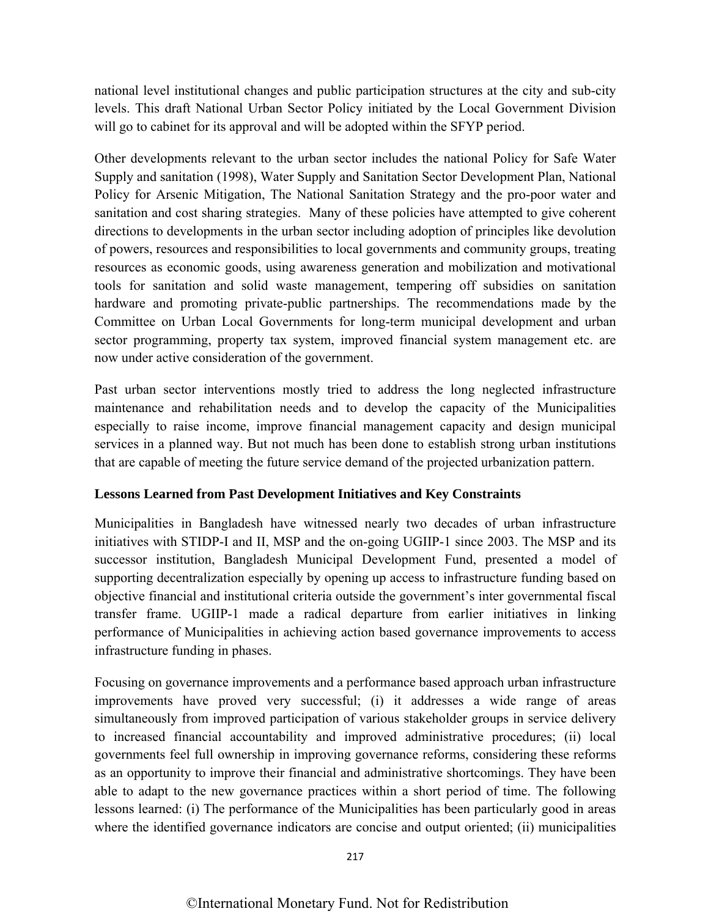national level institutional changes and public participation structures at the city and sub-city levels. This draft National Urban Sector Policy initiated by the Local Government Division will go to cabinet for its approval and will be adopted within the SFYP period.

Other developments relevant to the urban sector includes the national Policy for Safe Water Supply and sanitation (1998), Water Supply and Sanitation Sector Development Plan, National Policy for Arsenic Mitigation, The National Sanitation Strategy and the pro-poor water and sanitation and cost sharing strategies. Many of these policies have attempted to give coherent directions to developments in the urban sector including adoption of principles like devolution of powers, resources and responsibilities to local governments and community groups, treating resources as economic goods, using awareness generation and mobilization and motivational tools for sanitation and solid waste management, tempering off subsidies on sanitation hardware and promoting private-public partnerships. The recommendations made by the Committee on Urban Local Governments for long-term municipal development and urban sector programming, property tax system, improved financial system management etc. are now under active consideration of the government.

Past urban sector interventions mostly tried to address the long neglected infrastructure maintenance and rehabilitation needs and to develop the capacity of the Municipalities especially to raise income, improve financial management capacity and design municipal services in a planned way. But not much has been done to establish strong urban institutions that are capable of meeting the future service demand of the projected urbanization pattern.

## **Lessons Learned from Past Development Initiatives and Key Constraints**

Municipalities in Bangladesh have witnessed nearly two decades of urban infrastructure initiatives with STIDP-I and II, MSP and the on-going UGIIP-1 since 2003. The MSP and its successor institution, Bangladesh Municipal Development Fund, presented a model of supporting decentralization especially by opening up access to infrastructure funding based on objective financial and institutional criteria outside the government's inter governmental fiscal transfer frame. UGIIP-1 made a radical departure from earlier initiatives in linking performance of Municipalities in achieving action based governance improvements to access infrastructure funding in phases.

Focusing on governance improvements and a performance based approach urban infrastructure improvements have proved very successful; (i) it addresses a wide range of areas simultaneously from improved participation of various stakeholder groups in service delivery to increased financial accountability and improved administrative procedures; (ii) local governments feel full ownership in improving governance reforms, considering these reforms as an opportunity to improve their financial and administrative shortcomings. They have been able to adapt to the new governance practices within a short period of time. The following lessons learned: (i) The performance of the Municipalities has been particularly good in areas where the identified governance indicators are concise and output oriented; (ii) municipalities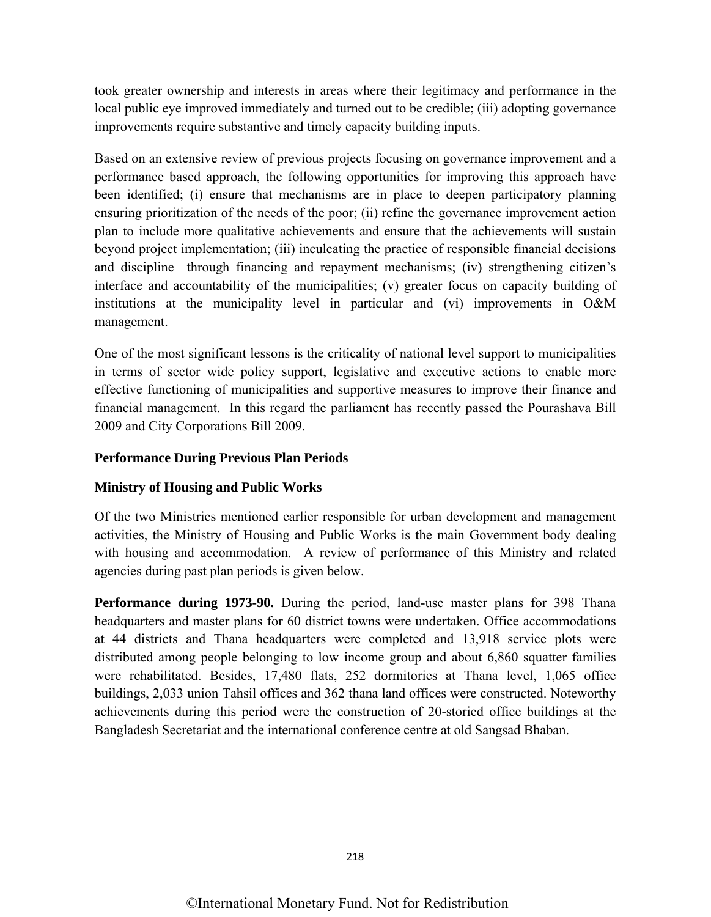took greater ownership and interests in areas where their legitimacy and performance in the local public eye improved immediately and turned out to be credible; (iii) adopting governance improvements require substantive and timely capacity building inputs.

Based on an extensive review of previous projects focusing on governance improvement and a performance based approach, the following opportunities for improving this approach have been identified; (i) ensure that mechanisms are in place to deepen participatory planning ensuring prioritization of the needs of the poor; (ii) refine the governance improvement action plan to include more qualitative achievements and ensure that the achievements will sustain beyond project implementation; (iii) inculcating the practice of responsible financial decisions and discipline through financing and repayment mechanisms; (iv) strengthening citizen's interface and accountability of the municipalities; (v) greater focus on capacity building of institutions at the municipality level in particular and (vi) improvements in O&M management.

One of the most significant lessons is the criticality of national level support to municipalities in terms of sector wide policy support, legislative and executive actions to enable more effective functioning of municipalities and supportive measures to improve their finance and financial management. In this regard the parliament has recently passed the Pourashava Bill 2009 and City Corporations Bill 2009.

#### **Performance During Previous Plan Periods**

#### **Ministry of Housing and Public Works**

Of the two Ministries mentioned earlier responsible for urban development and management activities, the Ministry of Housing and Public Works is the main Government body dealing with housing and accommodation. A review of performance of this Ministry and related agencies during past plan periods is given below.

**Performance during 1973-90.** During the period, land-use master plans for 398 Thana headquarters and master plans for 60 district towns were undertaken. Office accommodations at 44 districts and Thana headquarters were completed and 13,918 service plots were distributed among people belonging to low income group and about 6,860 squatter families were rehabilitated. Besides, 17,480 flats, 252 dormitories at Thana level, 1,065 office buildings, 2,033 union Tahsil offices and 362 thana land offices were constructed. Noteworthy achievements during this period were the construction of 20-storied office buildings at the Bangladesh Secretariat and the international conference centre at old Sangsad Bhaban.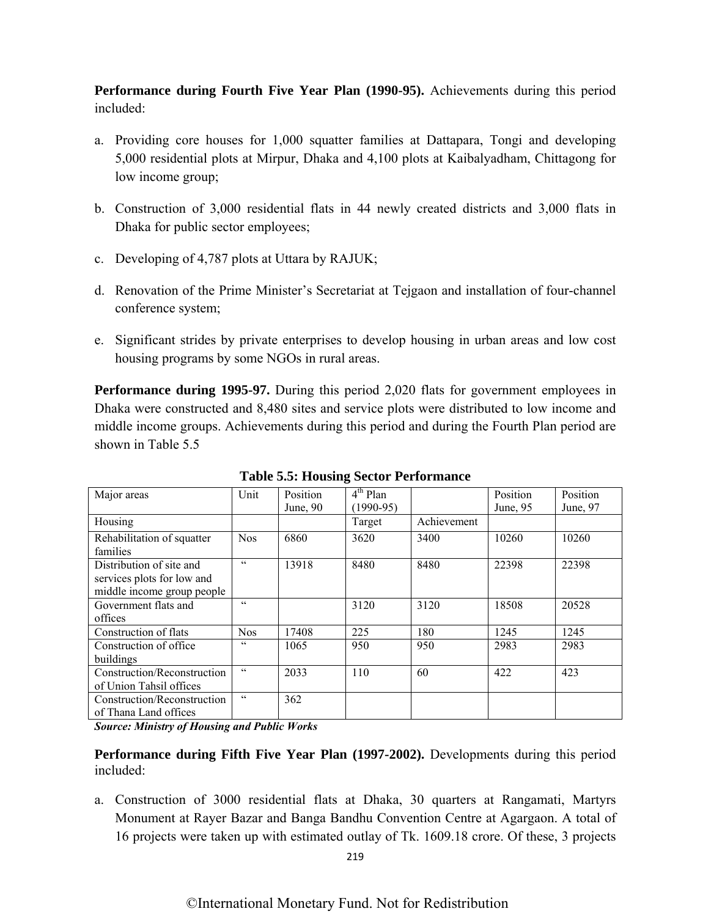**Performance during Fourth Five Year Plan (1990-95).** Achievements during this period included:

- a. Providing core houses for 1,000 squatter families at Dattapara, Tongi and developing 5,000 residential plots at Mirpur, Dhaka and 4,100 plots at Kaibalyadham, Chittagong for low income group;
- b. Construction of 3,000 residential flats in 44 newly created districts and 3,000 flats in Dhaka for public sector employees;
- c. Developing of 4,787 plots at Uttara by RAJUK;
- d. Renovation of the Prime Minister's Secretariat at Tejgaon and installation of four-channel conference system;
- e. Significant strides by private enterprises to develop housing in urban areas and low cost housing programs by some NGOs in rural areas.

**Performance during 1995-97.** During this period 2,020 flats for government employees in Dhaka were constructed and 8,480 sites and service plots were distributed to low income and middle income groups. Achievements during this period and during the Fourth Plan period are shown in Table 5.5

| Major areas                                                                          | Unit       | Position | $4th$ Plan  |             | Position | Position |
|--------------------------------------------------------------------------------------|------------|----------|-------------|-------------|----------|----------|
|                                                                                      |            | June, 90 | $(1990-95)$ |             | June, 95 | June, 97 |
| Housing                                                                              |            |          | Target      | Achievement |          |          |
| Rehabilitation of squatter<br>families                                               | <b>Nos</b> | 6860     | 3620        | 3400        | 10260    | 10260    |
| Distribution of site and<br>services plots for low and<br>middle income group people | $\subset$  | 13918    | 8480        | 8480        | 22398    | 22398    |
| Government flats and<br>offices                                                      | $\epsilon$ |          | 3120        | 3120        | 18508    | 20528    |
| Construction of flats                                                                | <b>Nos</b> | 17408    | 225         | 180         | 1245     | 1245     |
| Construction of office<br>buildings                                                  | C C        | 1065     | 950         | 950         | 2983     | 2983     |
| Construction/Reconstruction<br>of Union Tahsil offices                               | $\subset$  | 2033     | 110         | 60          | 422      | 423      |
| Construction/Reconstruction<br>of Thana Land offices                                 | cc         | 362      |             |             |          |          |

**[Table 5.5: Housing Sector Performance](#page--1-0)** 

*Source: Ministry of Housing and Public Works* 

**Performance during Fifth Five Year Plan (1997-2002).** Developments during this period included:

a. Construction of 3000 residential flats at Dhaka, 30 quarters at Rangamati, Martyrs Monument at Rayer Bazar and Banga Bandhu Convention Centre at Agargaon. A total of 16 projects were taken up with estimated outlay of Tk. 1609.18 crore. Of these, 3 projects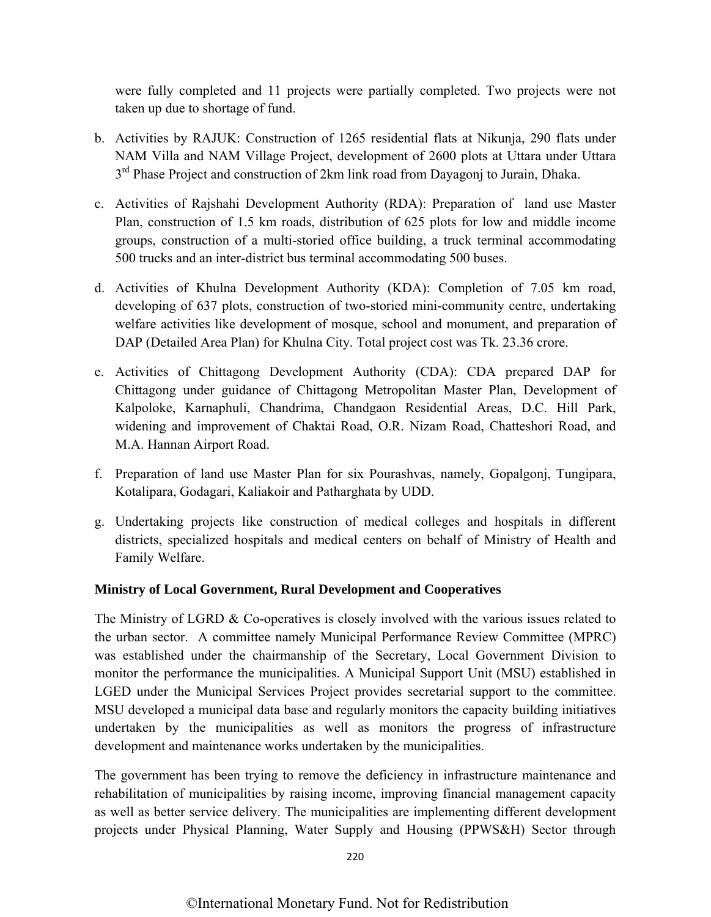were fully completed and 11 projects were partially completed. Two projects were not taken up due to shortage of fund.

- b. Activities by RAJUK: Construction of 1265 residential flats at Nikunja, 290 flats under NAM Villa and NAM Village Project, development of 2600 plots at Uttara under Uttara 3<sup>rd</sup> Phase Project and construction of 2km link road from Dayagonj to Jurain, Dhaka.
- c. Activities of Rajshahi Development Authority (RDA): Preparation of land use Master Plan, construction of 1.5 km roads, distribution of 625 plots for low and middle income groups, construction of a multi-storied office building, a truck terminal accommodating 500 trucks and an inter-district bus terminal accommodating 500 buses.
- d. Activities of Khulna Development Authority (KDA): Completion of 7.05 km road, developing of 637 plots, construction of two-storied mini-community centre, undertaking welfare activities like development of mosque, school and monument, and preparation of DAP (Detailed Area Plan) for Khulna City. Total project cost was Tk. 23.36 crore.
- e. Activities of Chittagong Development Authority (CDA): CDA prepared DAP for Chittagong under guidance of Chittagong Metropolitan Master Plan, Development of Kalpoloke, Karnaphuli, Chandrima, Chandgaon Residential Areas, D.C. Hill Park, widening and improvement of Chaktai Road, O.R. Nizam Road, Chatteshori Road, and M.A. Hannan Airport Road.
- f. Preparation of land use Master Plan for six Pourashvas, namely, Gopalgonj, Tungipara, Kotalipara, Godagari, Kaliakoir and Patharghata by UDD.
- g. Undertaking projects like construction of medical colleges and hospitals in different districts, specialized hospitals and medical centers on behalf of Ministry of Health and Family Welfare.

## **Ministry of Local Government, Rural Development and Cooperatives**

The Ministry of LGRD & Co-operatives is closely involved with the various issues related to the urban sector. A committee namely Municipal Performance Review Committee (MPRC) was established under the chairmanship of the Secretary, Local Government Division to monitor the performance the municipalities. A Municipal Support Unit (MSU) established in LGED under the Municipal Services Project provides secretarial support to the committee. MSU developed a municipal data base and regularly monitors the capacity building initiatives undertaken by the municipalities as well as monitors the progress of infrastructure development and maintenance works undertaken by the municipalities.

The government has been trying to remove the deficiency in infrastructure maintenance and rehabilitation of municipalities by raising income, improving financial management capacity as well as better service delivery. The municipalities are implementing different development projects under Physical Planning, Water Supply and Housing (PPWS&H) Sector through

220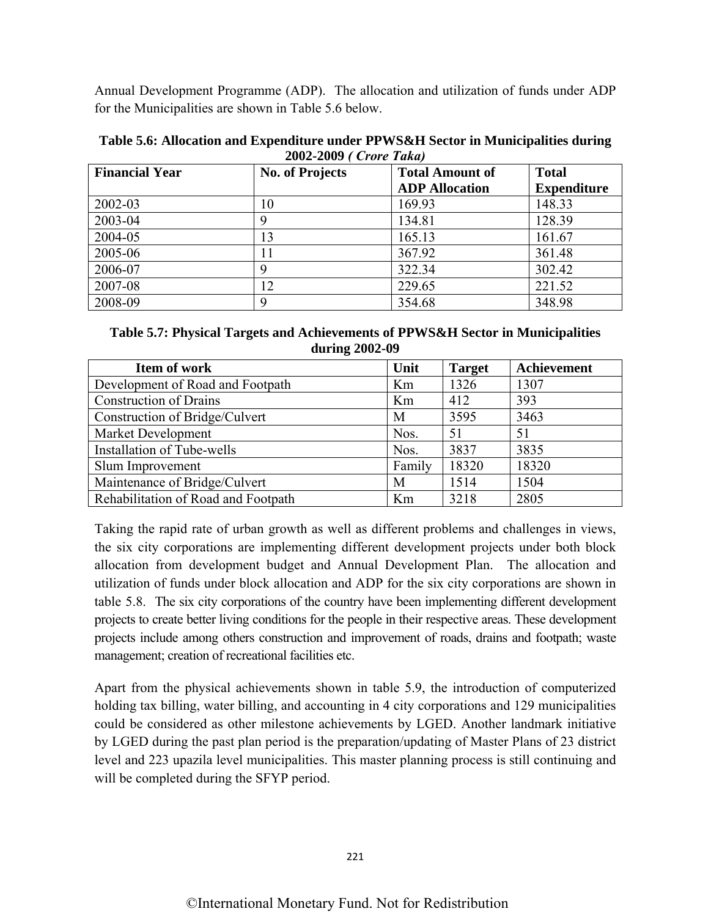Annual Development Programme (ADP). The allocation and utilization of funds under ADP for the Municipalities are shown in Table 5.6 below.

| <b>Financial Year</b> | <b>No. of Projects</b> | <b>Total Amount of</b><br><b>ADP</b> Allocation | <b>Total</b><br><b>Expenditure</b> |
|-----------------------|------------------------|-------------------------------------------------|------------------------------------|
| 2002-03               | 10                     | 169.93                                          | 148.33                             |
| 2003-04               | 9                      | 134.81                                          | 128.39                             |
| 2004-05               | 13                     | 165.13                                          | 161.67                             |
| 2005-06               |                        | 367.92                                          | 361.48                             |
| 2006-07               | 9                      | 322.34                                          | 302.42                             |
| 2007-08               | 12                     | 229.65                                          | 221.52                             |
| 2008-09               | 9                      | 354.68                                          | 348.98                             |

**[Table 5.6: Allocation and Expenditure under PPWS&H Sector in Municipalities during](#page--1-0) 2002-2009** *( Crore Taka)*

#### **[Table 5.7: Physical Targets and Achievements of PPWS&H Sector in Municipalities](#page--1-0)  during 2002-09**

| Item of work                        | Unit   | <b>Target</b> | Achievement |
|-------------------------------------|--------|---------------|-------------|
| Development of Road and Footpath    | Km     | 1326          | 1307        |
| <b>Construction of Drains</b>       | Km     | 412           | 393         |
| Construction of Bridge/Culvert      | M      | 3595          | 3463        |
| Market Development                  | Nos.   | 51            | 51          |
| Installation of Tube-wells          | Nos.   | 3837          | 3835        |
| Slum Improvement                    | Family | 18320         | 18320       |
| Maintenance of Bridge/Culvert       | M      | 1514          | 1504        |
| Rehabilitation of Road and Footpath | Km     | 3218          | 2805        |

Taking the rapid rate of urban growth as well as different problems and challenges in views, the six city corporations are implementing different development projects under both block allocation from development budget and Annual Development Plan. The allocation and utilization of funds under block allocation and ADP for the six city corporations are shown in table 5.8. The six city corporations of the country have been implementing different development projects to create better living conditions for the people in their respective areas. These development projects include among others construction and improvement of roads, drains and footpath; waste management; creation of recreational facilities etc.

Apart from the physical achievements shown in table 5.9, the introduction of computerized holding tax billing, water billing, and accounting in 4 city corporations and 129 municipalities could be considered as other milestone achievements by LGED. Another landmark initiative by LGED during the past plan period is the preparation/updating of Master Plans of 23 district level and 223 upazila level municipalities. This master planning process is still continuing and will be completed during the SFYP period.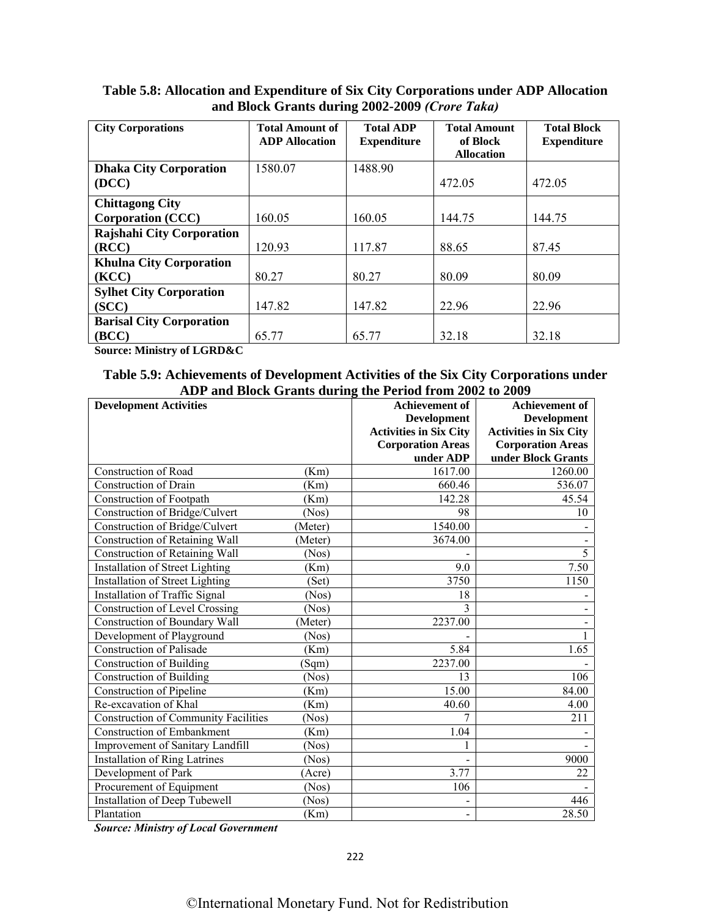| <b>City Corporations</b>        | <b>Total Amount of</b><br><b>ADP</b> Allocation | <b>Total ADP</b><br><b>Expenditure</b> | <b>Total Amount</b><br>of Block<br><b>Allocation</b> | <b>Total Block</b><br><b>Expenditure</b> |
|---------------------------------|-------------------------------------------------|----------------------------------------|------------------------------------------------------|------------------------------------------|
| <b>Dhaka City Corporation</b>   | 1580.07                                         | 1488.90                                |                                                      |                                          |
| (DCC)                           |                                                 |                                        | 472.05                                               | 472.05                                   |
| <b>Chittagong City</b>          |                                                 |                                        |                                                      |                                          |
| <b>Corporation (CCC)</b>        | 160.05                                          | 160.05                                 | 144.75                                               | 144.75                                   |
| Rajshahi City Corporation       |                                                 |                                        |                                                      |                                          |
| (RCC)                           | 120.93                                          | 117.87                                 | 88.65                                                | 87.45                                    |
| <b>Khulna City Corporation</b>  |                                                 |                                        |                                                      |                                          |
| (KCC)                           | 80.27                                           | 80.27                                  | 80.09                                                | 80.09                                    |
| <b>Sylhet City Corporation</b>  |                                                 |                                        |                                                      |                                          |
| (SCC)                           | 147.82                                          | 147.82                                 | 22.96                                                | 22.96                                    |
| <b>Barisal City Corporation</b> |                                                 |                                        |                                                      |                                          |
| (BCC)                           | 65.77                                           | 65.77                                  | 32.18                                                | 32.18                                    |

**[Table 5.8: Allocation and Expenditure of Six City Corporations under ADP Allocation](#page--1-0)  and Block Grants during 2002-2009** *(Crore Taka)*

**Source: Ministry of LGRD&C** 

#### **[Table 5.9: Achievements of Development Activities of the Six City Corporations under](#page--1-0)  ADP and Block Grants during the Period from 2002 to 2009**

| <b>Development Activities</b>               |         | <b>Achievement of</b>         | <b>Achievement of</b>         |
|---------------------------------------------|---------|-------------------------------|-------------------------------|
|                                             |         | <b>Development</b>            | <b>Development</b>            |
|                                             |         | <b>Activities in Six City</b> | <b>Activities in Six City</b> |
|                                             |         | <b>Corporation Areas</b>      | <b>Corporation Areas</b>      |
|                                             |         | under ADP                     | under Block Grants            |
| <b>Construction of Road</b>                 | (Km)    | 1617.00                       | 1260.00                       |
| <b>Construction of Drain</b>                | (Km)    | 660.46                        | 536.07                        |
| <b>Construction of Footpath</b>             | (Km)    | 142.28                        | 45.54                         |
| Construction of Bridge/Culvert              | (Nos)   | 98                            | 10                            |
| Construction of Bridge/Culvert              | (Meter) | 1540.00                       |                               |
| <b>Construction of Retaining Wall</b>       | (Meter) | 3674.00                       |                               |
| Construction of Retaining Wall              | (Nos)   |                               | 5                             |
| Installation of Street Lighting             | (Km)    | 9.0                           | 7.50                          |
| Installation of Street Lighting             | (Set)   | 3750                          | 1150                          |
| Installation of Traffic Signal              | (Nos)   | 18                            |                               |
| <b>Construction of Level Crossing</b>       | (Nos)   | 3                             |                               |
| <b>Construction of Boundary Wall</b>        | (Meter) | 2237.00                       |                               |
| Development of Playground                   | (Nos)   |                               | 1                             |
| <b>Construction of Palisade</b>             | (Km)    | 5.84                          | 1.65                          |
| Construction of Building                    | (Sqm)   | 2237.00                       |                               |
| <b>Construction of Building</b>             | (Nos)   | 13                            | 106                           |
| Construction of Pipeline                    | (Km)    | 15.00                         | 84.00                         |
| Re-excavation of Khal                       | (Km)    | 40.60                         | 4.00                          |
| <b>Construction of Community Facilities</b> | (Nos)   | 7                             | 211                           |
| <b>Construction of Embankment</b>           | (Km)    | 1.04                          |                               |
| Improvement of Sanitary Landfill            | (Nos)   |                               |                               |
| <b>Installation of Ring Latrines</b>        | (Nos)   |                               | 9000                          |
| Development of Park                         | (Acre)  | 3.77                          | 22                            |
| Procurement of Equipment                    | (Nos)   | 106                           |                               |
| <b>Installation of Deep Tubewell</b>        | (Nos)   |                               | 446                           |
| Plantation                                  | (Km)    | $\qquad \qquad \blacksquare$  | 28.50                         |

*Source: Ministry of Local Government*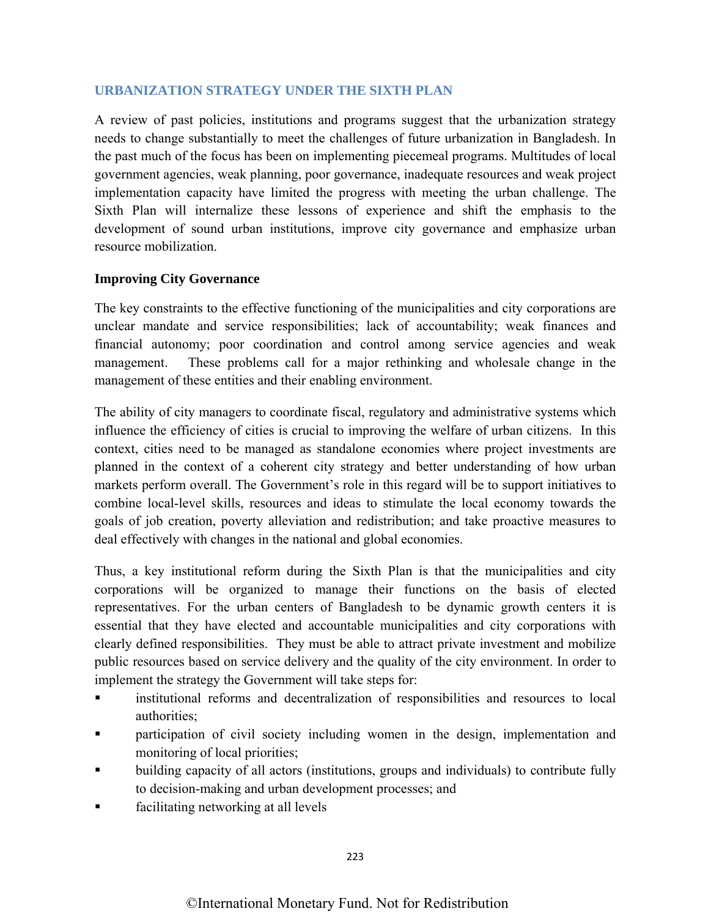## **[URBANIZATION STRATEGY UNDER THE SIXTH PLAN](#page--1-0)**

A review of past policies, institutions and programs suggest that the urbanization strategy needs to change substantially to meet the challenges of future urbanization in Bangladesh. In the past much of the focus has been on implementing piecemeal programs. Multitudes of local government agencies, weak planning, poor governance, inadequate resources and weak project implementation capacity have limited the progress with meeting the urban challenge. The Sixth Plan will internalize these lessons of experience and shift the emphasis to the development of sound urban institutions, improve city governance and emphasize urban resource mobilization.

#### **Improving City Governance**

The key constraints to the effective functioning of the municipalities and city corporations are unclear mandate and service responsibilities; lack of accountability; weak finances and financial autonomy; poor coordination and control among service agencies and weak management.These problems call for a major rethinking and wholesale change in the management of these entities and their enabling environment.

The ability of city managers to coordinate fiscal, regulatory and administrative systems which influence the efficiency of cities is crucial to improving the welfare of urban citizens. In this context, cities need to be managed as standalone economies where project investments are planned in the context of a coherent city strategy and better understanding of how urban markets perform overall. The Government's role in this regard will be to support initiatives to combine local-level skills, resources and ideas to stimulate the local economy towards the goals of job creation, poverty alleviation and redistribution; and take proactive measures to deal effectively with changes in the national and global economies.

Thus, a key institutional reform during the Sixth Plan is that the municipalities and city corporations will be organized to manage their functions on the basis of elected representatives. For the urban centers of Bangladesh to be dynamic growth centers it is essential that they have elected and accountable municipalities and city corporations with clearly defined responsibilities. They must be able to attract private investment and mobilize public resources based on service delivery and the quality of the city environment. In order to implement the strategy the Government will take steps for:

- institutional reforms and decentralization of responsibilities and resources to local authorities;
- participation of civil society including women in the design, implementation and monitoring of local priorities;
- building capacity of all actors (institutions, groups and individuals) to contribute fully to decision-making and urban development processes; and
- **Fe** facilitating networking at all levels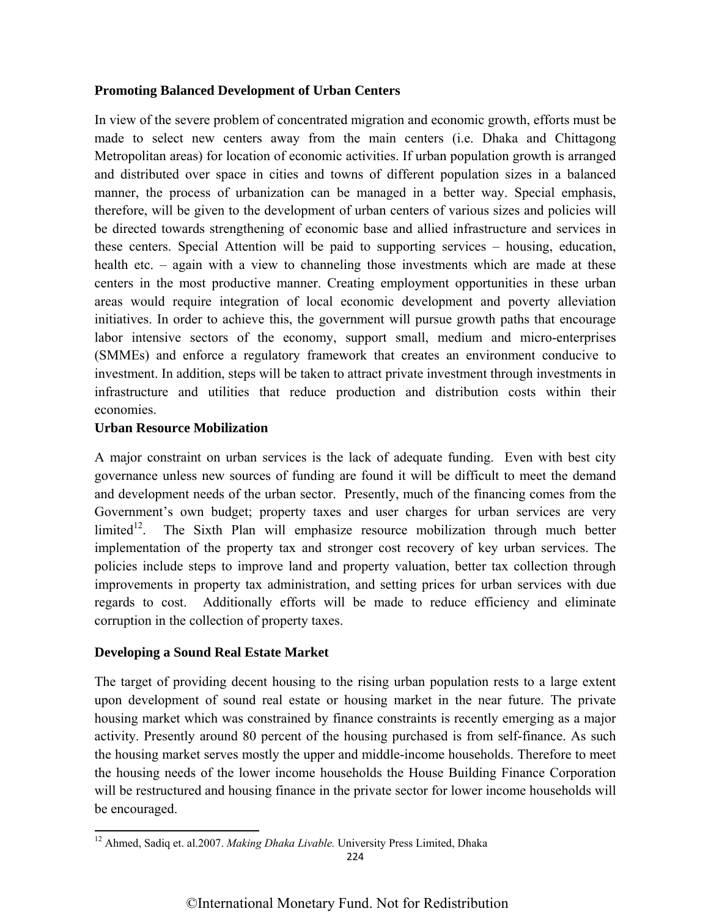## **Promoting Balanced Development of Urban Centers**

In view of the severe problem of concentrated migration and economic growth, efforts must be made to select new centers away from the main centers (i.e. Dhaka and Chittagong Metropolitan areas) for location of economic activities. If urban population growth is arranged and distributed over space in cities and towns of different population sizes in a balanced manner, the process of urbanization can be managed in a better way. Special emphasis, therefore, will be given to the development of urban centers of various sizes and policies will be directed towards strengthening of economic base and allied infrastructure and services in these centers. Special Attention will be paid to supporting services – housing, education, health etc. – again with a view to channeling those investments which are made at these centers in the most productive manner. Creating employment opportunities in these urban areas would require integration of local economic development and poverty alleviation initiatives. In order to achieve this, the government will pursue growth paths that encourage labor intensive sectors of the economy, support small, medium and micro-enterprises (SMMEs) and enforce a regulatory framework that creates an environment conducive to investment. In addition, steps will be taken to attract private investment through investments in infrastructure and utilities that reduce production and distribution costs within their economies.

## **Urban Resource Mobilization**

A major constraint on urban services is the lack of adequate funding. Even with best city governance unless new sources of funding are found it will be difficult to meet the demand and development needs of the urban sector. Presently, much of the financing comes from the Government's own budget; property taxes and user charges for urban services are very limited<sup>12</sup>. The Sixth Plan will emphasize resource mobilization through much better implementation of the property tax and stronger cost recovery of key urban services. The policies include steps to improve land and property valuation, better tax collection through improvements in property tax administration, and setting prices for urban services with due regards to cost. Additionally efforts will be made to reduce efficiency and eliminate corruption in the collection of property taxes.

## **Developing a Sound Real Estate Market**

The target of providing decent housing to the rising urban population rests to a large extent upon development of sound real estate or housing market in the near future. The private housing market which was constrained by finance constraints is recently emerging as a major activity. Presently around 80 percent of the housing purchased is from self-finance. As such the housing market serves mostly the upper and middle-income households. Therefore to meet the housing needs of the lower income households the House Building Finance Corporation will be restructured and housing finance in the private sector for lower income households will be encouraged.

 <sup>12</sup> Ahmed, Sadiq et. al.2007. Making Dhaka Livable. University Press Limited, Dhaka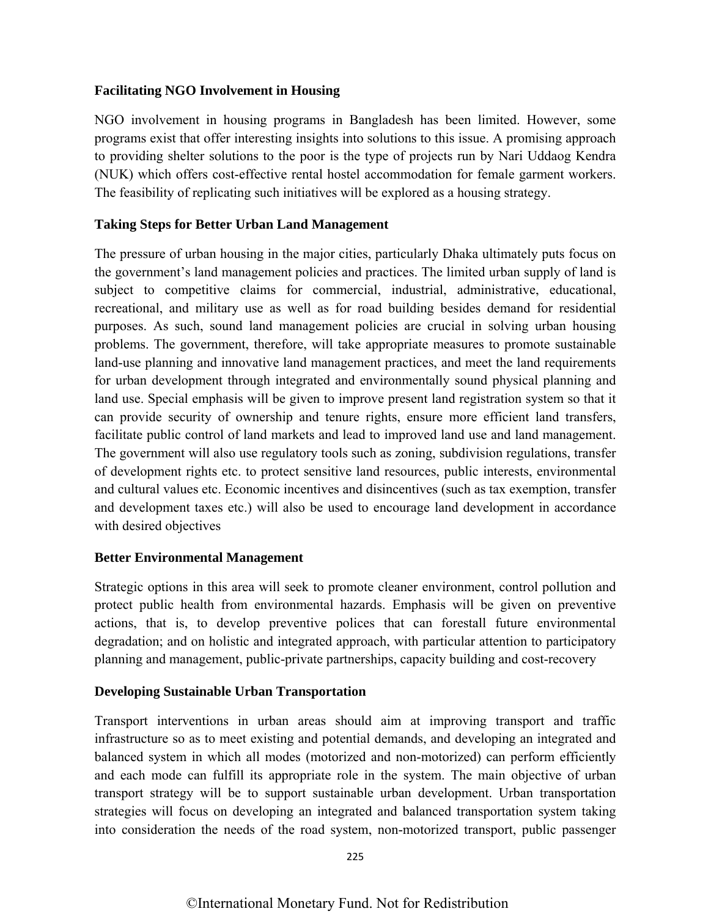## **Facilitating NGO Involvement in Housing**

NGO involvement in housing programs in Bangladesh has been limited. However, some programs exist that offer interesting insights into solutions to this issue. A promising approach to providing shelter solutions to the poor is the type of projects run by Nari Uddaog Kendra (NUK) which offers cost-effective rental hostel accommodation for female garment workers. The feasibility of replicating such initiatives will be explored as a housing strategy.

## **Taking Steps for Better Urban Land Management**

The pressure of urban housing in the major cities, particularly Dhaka ultimately puts focus on the government's land management policies and practices. The limited urban supply of land is subject to competitive claims for commercial, industrial, administrative, educational, recreational, and military use as well as for road building besides demand for residential purposes. As such, sound land management policies are crucial in solving urban housing problems. The government, therefore, will take appropriate measures to promote sustainable land-use planning and innovative land management practices, and meet the land requirements for urban development through integrated and environmentally sound physical planning and land use. Special emphasis will be given to improve present land registration system so that it can provide security of ownership and tenure rights, ensure more efficient land transfers, facilitate public control of land markets and lead to improved land use and land management. The government will also use regulatory tools such as zoning, subdivision regulations, transfer of development rights etc. to protect sensitive land resources, public interests, environmental and cultural values etc. Economic incentives and disincentives (such as tax exemption, transfer and development taxes etc.) will also be used to encourage land development in accordance with desired objectives

## **Better Environmental Management**

Strategic options in this area will seek to promote cleaner environment, control pollution and protect public health from environmental hazards. Emphasis will be given on preventive actions, that is, to develop preventive polices that can forestall future environmental degradation; and on holistic and integrated approach, with particular attention to participatory planning and management, public-private partnerships, capacity building and cost-recovery

## **Developing Sustainable Urban Transportation**

Transport interventions in urban areas should aim at improving transport and traffic infrastructure so as to meet existing and potential demands, and developing an integrated and balanced system in which all modes (motorized and non-motorized) can perform efficiently and each mode can fulfill its appropriate role in the system. The main objective of urban transport strategy will be to support sustainable urban development. Urban transportation strategies will focus on developing an integrated and balanced transportation system taking into consideration the needs of the road system, non-motorized transport, public passenger

225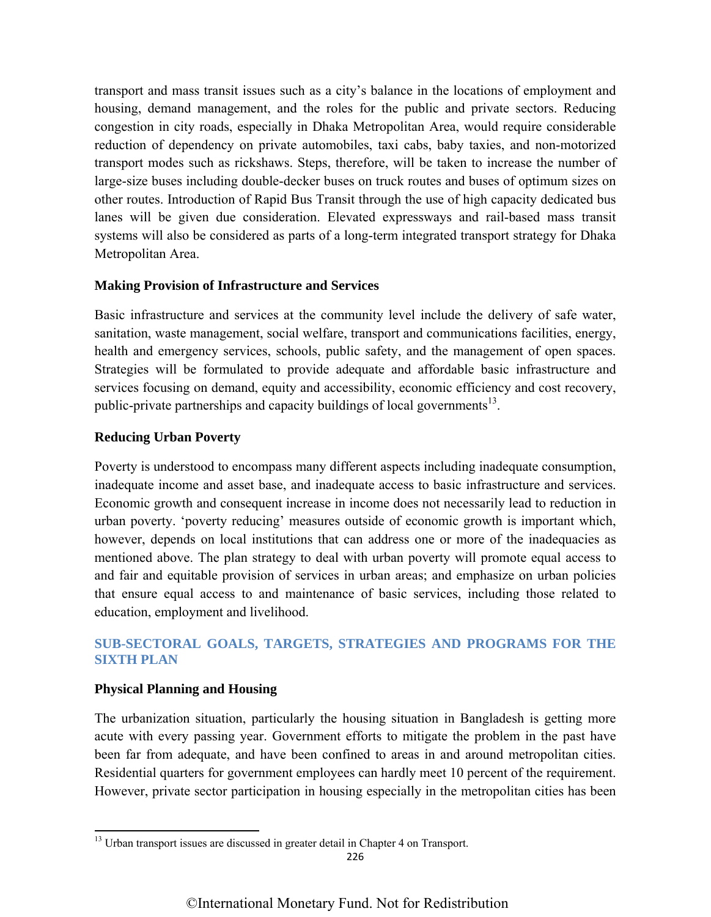transport and mass transit issues such as a city's balance in the locations of employment and housing, demand management, and the roles for the public and private sectors. Reducing congestion in city roads, especially in Dhaka Metropolitan Area, would require considerable reduction of dependency on private automobiles, taxi cabs, baby taxies, and non-motorized transport modes such as rickshaws. Steps, therefore, will be taken to increase the number of large-size buses including double-decker buses on truck routes and buses of optimum sizes on other routes. Introduction of Rapid Bus Transit through the use of high capacity dedicated bus lanes will be given due consideration. Elevated expressways and rail-based mass transit systems will also be considered as parts of a long-term integrated transport strategy for Dhaka Metropolitan Area.

#### **Making Provision of Infrastructure and Services**

Basic infrastructure and services at the community level include the delivery of safe water, sanitation, waste management, social welfare, transport and communications facilities, energy, health and emergency services, schools, public safety, and the management of open spaces. Strategies will be formulated to provide adequate and affordable basic infrastructure and services focusing on demand, equity and accessibility, economic efficiency and cost recovery, public-private partnerships and capacity buildings of local governments<sup>13</sup>.

#### **Reducing Urban Poverty**

Poverty is understood to encompass many different aspects including inadequate consumption, inadequate income and asset base, and inadequate access to basic infrastructure and services. Economic growth and consequent increase in income does not necessarily lead to reduction in urban poverty. 'poverty reducing' measures outside of economic growth is important which, however, depends on local institutions that can address one or more of the inadequacies as mentioned above. The plan strategy to deal with urban poverty will promote equal access to and fair and equitable provision of services in urban areas; and emphasize on urban policies that ensure equal access to and maintenance of basic services, including those related to education, employment and livelihood.

## **[SUB-SECTORAL GOALS, TARGETS, STRATEGIES AND PROGRAMS FOR THE](#page--1-0) SIXTH PLAN**

#### **Physical Planning and Housing**

The urbanization situation, particularly the housing situation in Bangladesh is getting more acute with every passing year. Government efforts to mitigate the problem in the past have been far from adequate, and have been confined to areas in and around metropolitan cities. Residential quarters for government employees can hardly meet 10 percent of the requirement. However, private sector participation in housing especially in the metropolitan cities has been

 <sup>13</sup> Urban transport issues are discussed in greater detail in Chapter 4 on Transport.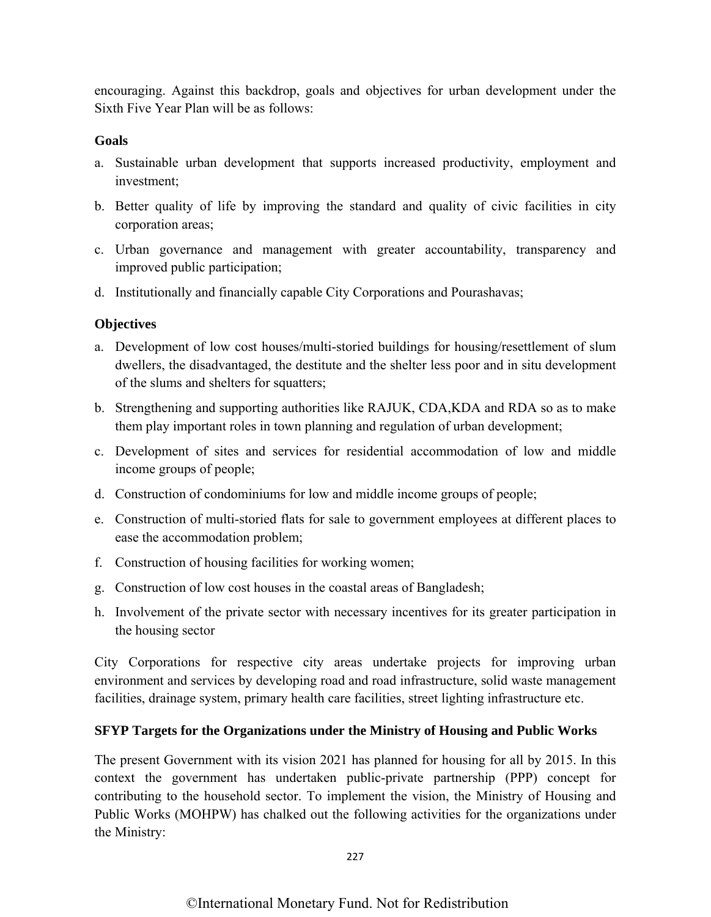encouraging. Against this backdrop, goals and objectives for urban development under the Sixth Five Year Plan will be as follows:

## **Goals**

- a. Sustainable urban development that supports increased productivity, employment and investment;
- b. Better quality of life by improving the standard and quality of civic facilities in city corporation areas;
- c. Urban governance and management with greater accountability, transparency and improved public participation;
- d. Institutionally and financially capable City Corporations and Pourashavas;

## **Objectives**

- a. Development of low cost houses/multi-storied buildings for housing/resettlement of slum dwellers, the disadvantaged, the destitute and the shelter less poor and in situ development of the slums and shelters for squatters;
- b. Strengthening and supporting authorities like RAJUK, CDA,KDA and RDA so as to make them play important roles in town planning and regulation of urban development;
- c. Development of sites and services for residential accommodation of low and middle income groups of people;
- d. Construction of condominiums for low and middle income groups of people;
- e. Construction of multi-storied flats for sale to government employees at different places to ease the accommodation problem;
- f. Construction of housing facilities for working women;
- g. Construction of low cost houses in the coastal areas of Bangladesh;
- h. Involvement of the private sector with necessary incentives for its greater participation in the housing sector

City Corporations for respective city areas undertake projects for improving urban environment and services by developing road and road infrastructure, solid waste management facilities, drainage system, primary health care facilities, street lighting infrastructure etc.

## **SFYP Targets for the Organizations under the Ministry of Housing and Public Works**

The present Government with its vision 2021 has planned for housing for all by 2015. In this context the government has undertaken public-private partnership (PPP) concept for contributing to the household sector. To implement the vision, the Ministry of Housing and Public Works (MOHPW) has chalked out the following activities for the organizations under the Ministry:

227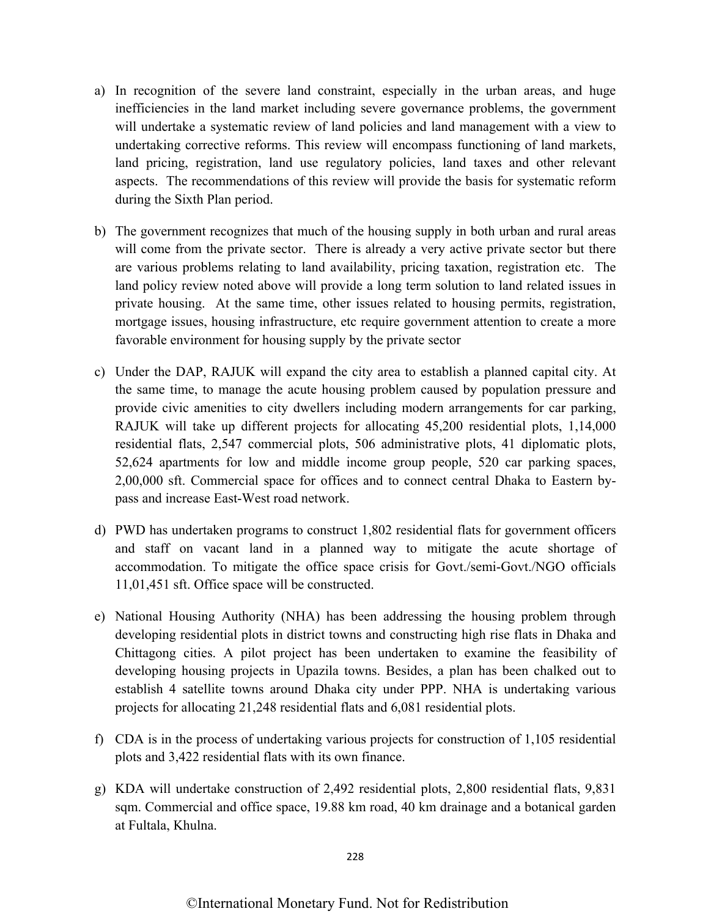- a) In recognition of the severe land constraint, especially in the urban areas, and huge inefficiencies in the land market including severe governance problems, the government will undertake a systematic review of land policies and land management with a view to undertaking corrective reforms. This review will encompass functioning of land markets, land pricing, registration, land use regulatory policies, land taxes and other relevant aspects. The recommendations of this review will provide the basis for systematic reform during the Sixth Plan period.
- b) The government recognizes that much of the housing supply in both urban and rural areas will come from the private sector. There is already a very active private sector but there are various problems relating to land availability, pricing taxation, registration etc. The land policy review noted above will provide a long term solution to land related issues in private housing. At the same time, other issues related to housing permits, registration, mortgage issues, housing infrastructure, etc require government attention to create a more favorable environment for housing supply by the private sector
- c) Under the DAP, RAJUK will expand the city area to establish a planned capital city. At the same time, to manage the acute housing problem caused by population pressure and provide civic amenities to city dwellers including modern arrangements for car parking, RAJUK will take up different projects for allocating 45,200 residential plots, 1,14,000 residential flats, 2,547 commercial plots, 506 administrative plots, 41 diplomatic plots, 52,624 apartments for low and middle income group people, 520 car parking spaces, 2,00,000 sft. Commercial space for offices and to connect central Dhaka to Eastern bypass and increase East-West road network.
- d) PWD has undertaken programs to construct 1,802 residential flats for government officers and staff on vacant land in a planned way to mitigate the acute shortage of accommodation. To mitigate the office space crisis for Govt./semi-Govt./NGO officials 11,01,451 sft. Office space will be constructed.
- e) National Housing Authority (NHA) has been addressing the housing problem through developing residential plots in district towns and constructing high rise flats in Dhaka and Chittagong cities. A pilot project has been undertaken to examine the feasibility of developing housing projects in Upazila towns. Besides, a plan has been chalked out to establish 4 satellite towns around Dhaka city under PPP. NHA is undertaking various projects for allocating 21,248 residential flats and 6,081 residential plots.
- f) CDA is in the process of undertaking various projects for construction of 1,105 residential plots and 3,422 residential flats with its own finance.
- g) KDA will undertake construction of 2,492 residential plots, 2,800 residential flats, 9,831 sqm. Commercial and office space, 19.88 km road, 40 km drainage and a botanical garden at Fultala, Khulna.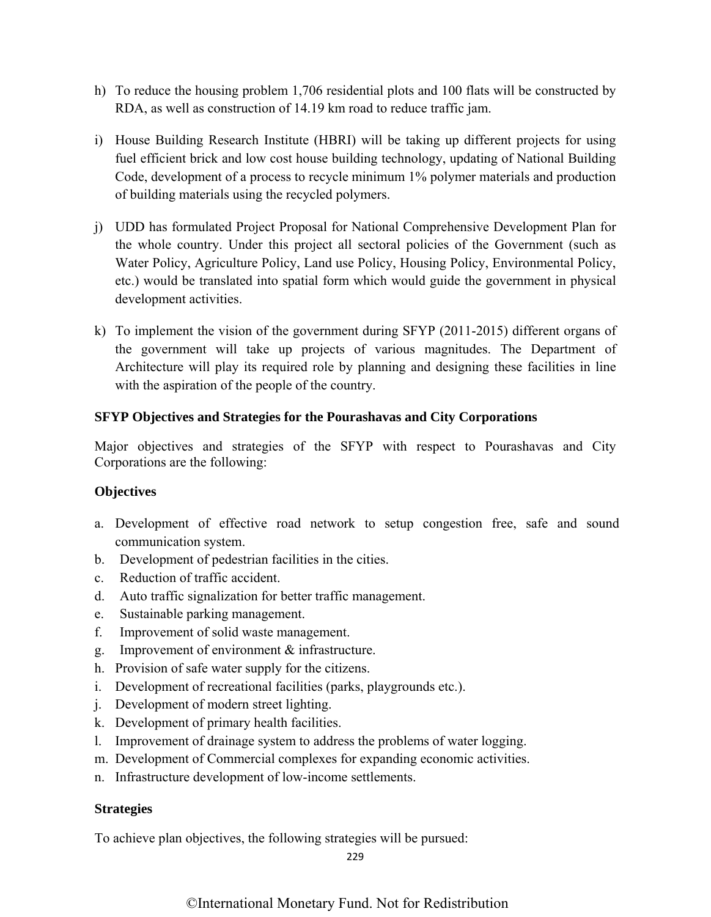- h) To reduce the housing problem 1,706 residential plots and 100 flats will be constructed by RDA, as well as construction of 14.19 km road to reduce traffic jam.
- i) House Building Research Institute (HBRI) will be taking up different projects for using fuel efficient brick and low cost house building technology, updating of National Building Code, development of a process to recycle minimum 1% polymer materials and production of building materials using the recycled polymers.
- j) UDD has formulated Project Proposal for National Comprehensive Development Plan for the whole country. Under this project all sectoral policies of the Government (such as Water Policy, Agriculture Policy, Land use Policy, Housing Policy, Environmental Policy, etc.) would be translated into spatial form which would guide the government in physical development activities.
- k) To implement the vision of the government during SFYP (2011-2015) different organs of the government will take up projects of various magnitudes. The Department of Architecture will play its required role by planning and designing these facilities in line with the aspiration of the people of the country.

## **SFYP Objectives and Strategies for the Pourashavas and City Corporations**

Major objectives and strategies of the SFYP with respect to Pourashavas and City Corporations are the following:

## **Objectives**

- a. Development of effective road network to setup congestion free, safe and sound communication system.
- b. Development of pedestrian facilities in the cities.
- c. Reduction of traffic accident.
- d. Auto traffic signalization for better traffic management.
- e. Sustainable parking management.
- f. Improvement of solid waste management.
- g. Improvement of environment & infrastructure.
- h. Provision of safe water supply for the citizens.
- i. Development of recreational facilities (parks, playgrounds etc.).
- j. Development of modern street lighting.
- k. Development of primary health facilities.
- l. Improvement of drainage system to address the problems of water logging.
- m. Development of Commercial complexes for expanding economic activities.
- n. Infrastructure development of low-income settlements.

## **Strategies**

To achieve plan objectives, the following strategies will be pursued:

229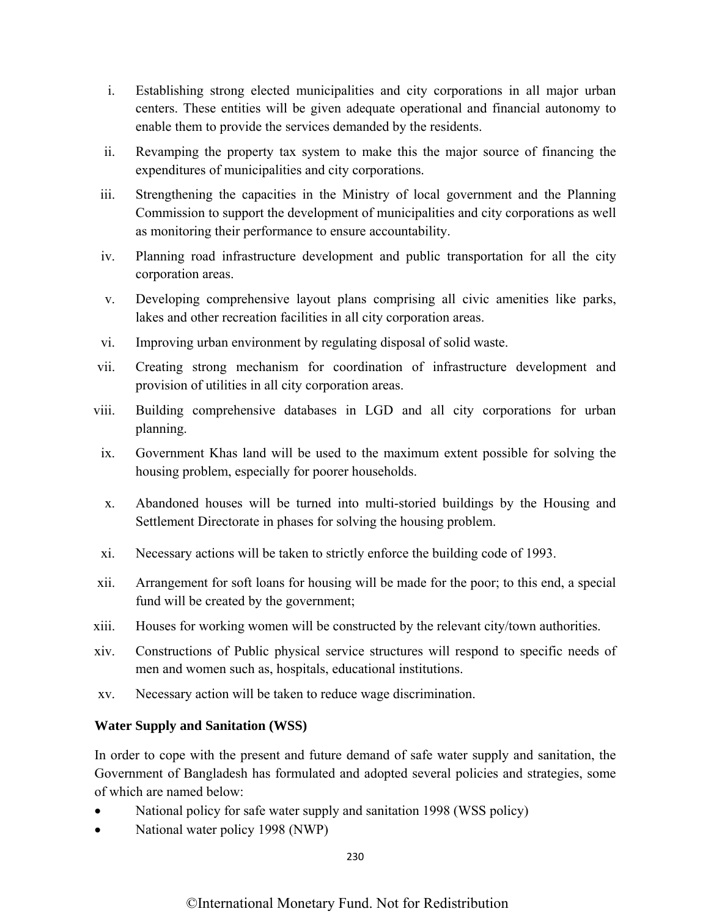- i. Establishing strong elected municipalities and city corporations in all major urban centers. These entities will be given adequate operational and financial autonomy to enable them to provide the services demanded by the residents.
- ii. Revamping the property tax system to make this the major source of financing the expenditures of municipalities and city corporations.
- iii. Strengthening the capacities in the Ministry of local government and the Planning Commission to support the development of municipalities and city corporations as well as monitoring their performance to ensure accountability.
- iv. Planning road infrastructure development and public transportation for all the city corporation areas.
- v. Developing comprehensive layout plans comprising all civic amenities like parks, lakes and other recreation facilities in all city corporation areas.
- vi. Improving urban environment by regulating disposal of solid waste.
- vii. Creating strong mechanism for coordination of infrastructure development and provision of utilities in all city corporation areas.
- viii. Building comprehensive databases in LGD and all city corporations for urban planning.
- ix. Government Khas land will be used to the maximum extent possible for solving the housing problem, especially for poorer households.
- x. Abandoned houses will be turned into multi-storied buildings by the Housing and Settlement Directorate in phases for solving the housing problem.
- xi. Necessary actions will be taken to strictly enforce the building code of 1993.
- xii. Arrangement for soft loans for housing will be made for the poor; to this end, a special fund will be created by the government;
- xiii. Houses for working women will be constructed by the relevant city/town authorities.
- xiv. Constructions of Public physical service structures will respond to specific needs of men and women such as, hospitals, educational institutions.
- xv. Necessary action will be taken to reduce wage discrimination.

#### **Water Supply and Sanitation (WSS)**

In order to cope with the present and future demand of safe water supply and sanitation, the Government of Bangladesh has formulated and adopted several policies and strategies, some of which are named below:

- National policy for safe water supply and sanitation 1998 (WSS policy)
- National water policy 1998 (NWP)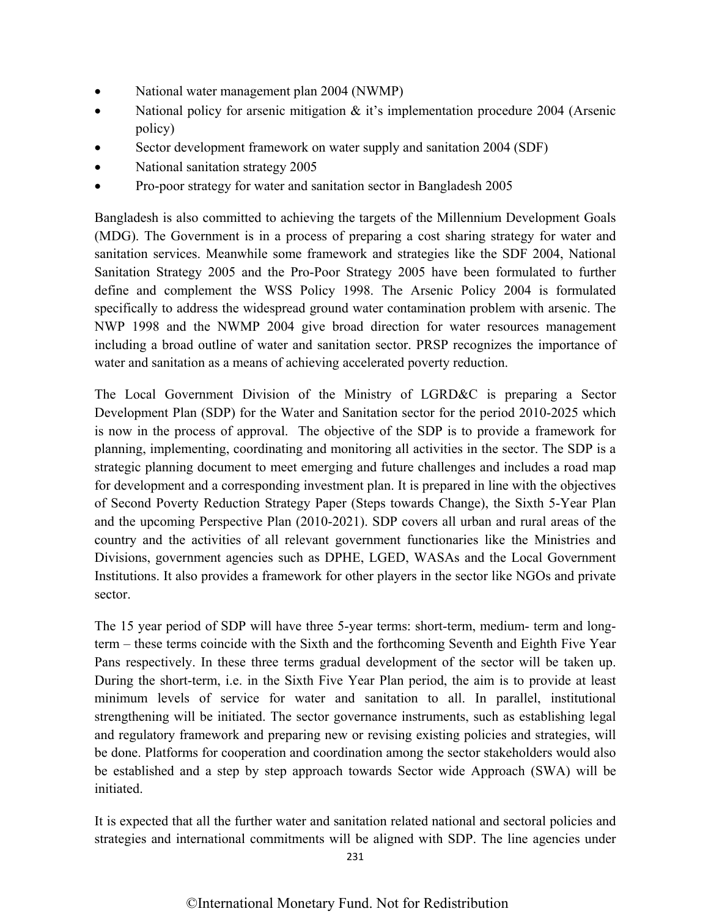- National water management plan 2004 (NWMP)
- National policy for arsenic mitigation & it's implementation procedure 2004 (Arsenic policy)
- Sector development framework on water supply and sanitation 2004 (SDF)
- National sanitation strategy 2005
- Pro-poor strategy for water and sanitation sector in Bangladesh 2005

Bangladesh is also committed to achieving the targets of the Millennium Development Goals (MDG). The Government is in a process of preparing a cost sharing strategy for water and sanitation services. Meanwhile some framework and strategies like the SDF 2004, National Sanitation Strategy 2005 and the Pro-Poor Strategy 2005 have been formulated to further define and complement the WSS Policy 1998. The Arsenic Policy 2004 is formulated specifically to address the widespread ground water contamination problem with arsenic. The NWP 1998 and the NWMP 2004 give broad direction for water resources management including a broad outline of water and sanitation sector. PRSP recognizes the importance of water and sanitation as a means of achieving accelerated poverty reduction.

The Local Government Division of the Ministry of LGRD&C is preparing a Sector Development Plan (SDP) for the Water and Sanitation sector for the period 2010-2025 which is now in the process of approval. The objective of the SDP is to provide a framework for planning, implementing, coordinating and monitoring all activities in the sector. The SDP is a strategic planning document to meet emerging and future challenges and includes a road map for development and a corresponding investment plan. It is prepared in line with the objectives of Second Poverty Reduction Strategy Paper (Steps towards Change), the Sixth 5-Year Plan and the upcoming Perspective Plan (2010-2021). SDP covers all urban and rural areas of the country and the activities of all relevant government functionaries like the Ministries and Divisions, government agencies such as DPHE, LGED, WASAs and the Local Government Institutions. It also provides a framework for other players in the sector like NGOs and private sector.

The 15 year period of SDP will have three 5-year terms: short-term, medium- term and longterm – these terms coincide with the Sixth and the forthcoming Seventh and Eighth Five Year Pans respectively. In these three terms gradual development of the sector will be taken up. During the short-term, i.e. in the Sixth Five Year Plan period, the aim is to provide at least minimum levels of service for water and sanitation to all. In parallel, institutional strengthening will be initiated. The sector governance instruments, such as establishing legal and regulatory framework and preparing new or revising existing policies and strategies, will be done. Platforms for cooperation and coordination among the sector stakeholders would also be established and a step by step approach towards Sector wide Approach (SWA) will be initiated.

It is expected that all the further water and sanitation related national and sectoral policies and strategies and international commitments will be aligned with SDP. The line agencies under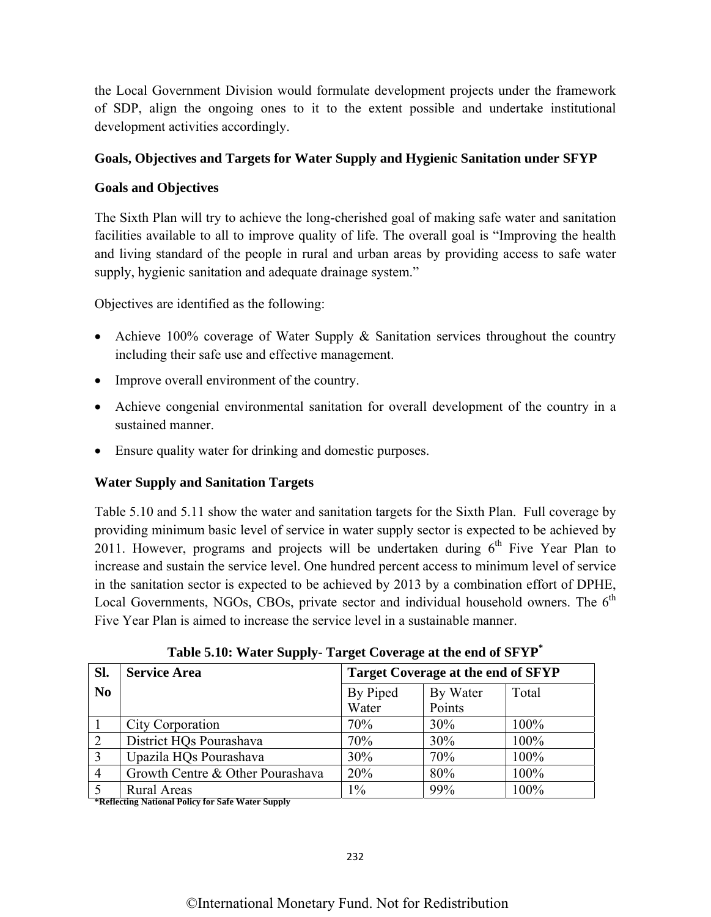the Local Government Division would formulate development projects under the framework of SDP, align the ongoing ones to it to the extent possible and undertake institutional development activities accordingly.

#### **Goals, Objectives and Targets for Water Supply and Hygienic Sanitation under SFYP**

#### **Goals and Objectives**

The Sixth Plan will try to achieve the long-cherished goal of making safe water and sanitation facilities available to all to improve quality of life. The overall goal is "Improving the health and living standard of the people in rural and urban areas by providing access to safe water supply, hygienic sanitation and adequate drainage system."

Objectives are identified as the following:

- Achieve 100% coverage of Water Supply & Sanitation services throughout the country including their safe use and effective management.
- Improve overall environment of the country.
- Achieve congenial environmental sanitation for overall development of the country in a sustained manner.
- Ensure quality water for drinking and domestic purposes.

#### **Water Supply and Sanitation Targets**

Table 5.10 and 5.11 show the water and sanitation targets for the Sixth Plan. Full coverage by providing minimum basic level of service in water supply sector is expected to be achieved by 2011. However, programs and projects will be undertaken during  $6<sup>th</sup>$  Five Year Plan to increase and sustain the service level. One hundred percent access to minimum level of service in the sanitation sector is expected to be achieved by 2013 by a combination effort of DPHE, Local Governments, NGOs, CBOs, private sector and individual household owners. The  $6<sup>th</sup>$ Five Year Plan is aimed to increase the service level in a sustainable manner.

| SI.            | <b>Service Area</b>              | <b>Target Coverage at the end of SFYP</b> |          |       |  |
|----------------|----------------------------------|-------------------------------------------|----------|-------|--|
| N <sub>0</sub> |                                  | By Piped                                  | By Water | Total |  |
|                |                                  | Water                                     | Points   |       |  |
|                | City Corporation                 | 70%                                       | 30%      | 100%  |  |
| 2              | District HQs Pourashava          | 70%                                       | 30%      | 100%  |  |
| 3              | Upazila HQs Pourashava           | 30%                                       | 70%      | 100%  |  |
| $\overline{4}$ | Growth Centre & Other Pourashava | 20%                                       | 80%      | 100%  |  |
|                | <b>Rural Areas</b>               | $1\%$                                     | 99%      | 100%  |  |

**[Table 5.10: Water Supply- Target Coverage at the end of SFYP](#page--1-0)\***

**\*Reflecting National Policy for Safe Water Supply**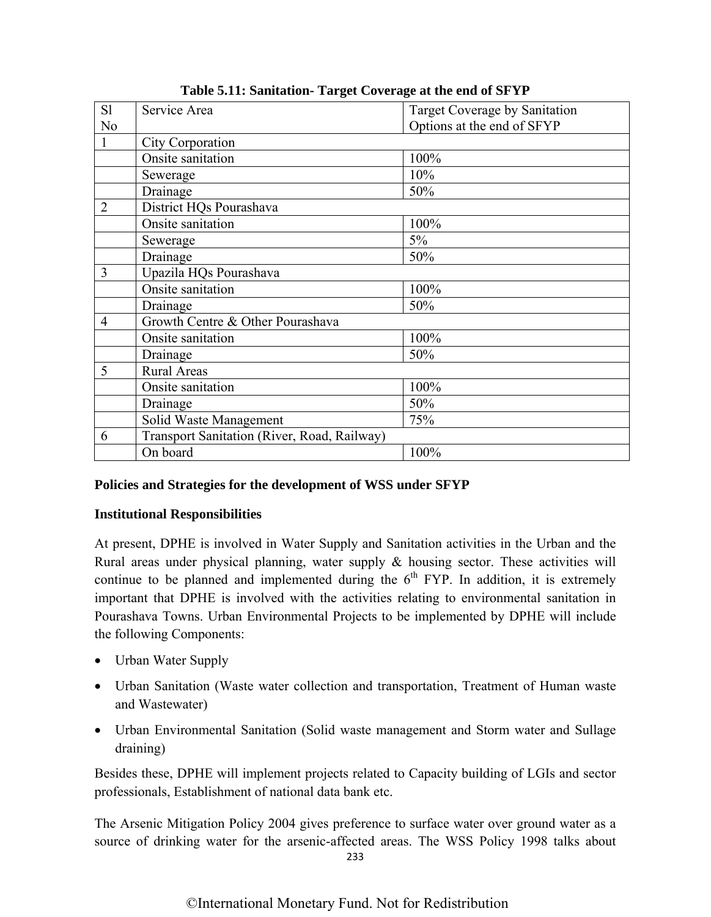| S1             | Service Area                                | <b>Target Coverage by Sanitation</b> |
|----------------|---------------------------------------------|--------------------------------------|
| N <sub>0</sub> |                                             | Options at the end of SFYP           |
| $\mathbf{1}$   | City Corporation                            |                                      |
|                | Onsite sanitation                           | 100%                                 |
|                | Sewerage                                    | 10%                                  |
|                | Drainage                                    | 50%                                  |
| $\overline{2}$ | District HQs Pourashava                     |                                      |
|                | Onsite sanitation                           | 100%                                 |
|                | Sewerage                                    | $5\%$                                |
|                | Drainage                                    | 50%                                  |
| 3              | Upazila HQs Pourashava                      |                                      |
|                | Onsite sanitation                           | 100%                                 |
|                | Drainage                                    | 50%                                  |
| $\overline{4}$ | Growth Centre & Other Pourashava            |                                      |
|                | Onsite sanitation                           | 100%                                 |
|                | Drainage                                    | 50%                                  |
| 5              | <b>Rural Areas</b>                          |                                      |
|                | Onsite sanitation                           | 100%                                 |
|                | Drainage                                    | 50%                                  |
|                | Solid Waste Management                      | 75%                                  |
| 6              | Transport Sanitation (River, Road, Railway) |                                      |
|                | On board                                    | 100%                                 |

**[Table 5.11: Sanitation- Target Coverage at the end of SFYP](#page--1-0)**

#### **Policies and Strategies for the development of WSS under SFYP**

#### **Institutional Responsibilities**

At present, DPHE is involved in Water Supply and Sanitation activities in the Urban and the Rural areas under physical planning, water supply  $\&$  housing sector. These activities will continue to be planned and implemented during the  $6<sup>th</sup>$  FYP. In addition, it is extremely important that DPHE is involved with the activities relating to environmental sanitation in Pourashava Towns. Urban Environmental Projects to be implemented by DPHE will include the following Components:

- Urban Water Supply
- Urban Sanitation (Waste water collection and transportation, Treatment of Human waste and Wastewater)
- Urban Environmental Sanitation (Solid waste management and Storm water and Sullage draining)

Besides these, DPHE will implement projects related to Capacity building of LGIs and sector professionals, Establishment of national data bank etc.

The Arsenic Mitigation Policy 2004 gives preference to surface water over ground water as a source of drinking water for the arsenic-affected areas. The WSS Policy 1998 talks about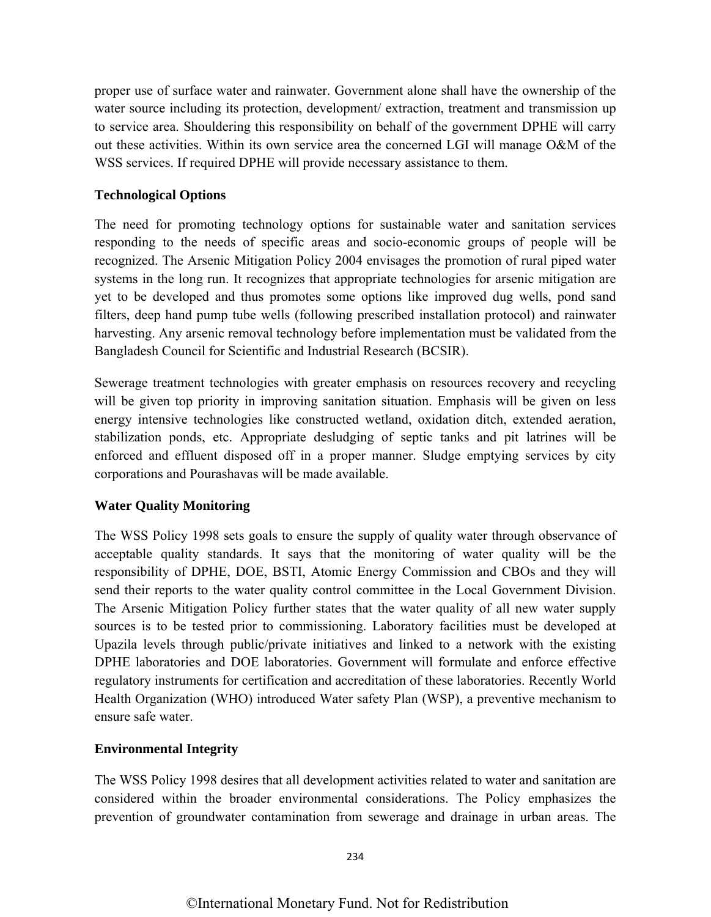proper use of surface water and rainwater. Government alone shall have the ownership of the water source including its protection, development/ extraction, treatment and transmission up to service area. Shouldering this responsibility on behalf of the government DPHE will carry out these activities. Within its own service area the concerned LGI will manage O&M of the WSS services. If required DPHE will provide necessary assistance to them.

#### **Technological Options**

The need for promoting technology options for sustainable water and sanitation services responding to the needs of specific areas and socio-economic groups of people will be recognized. The Arsenic Mitigation Policy 2004 envisages the promotion of rural piped water systems in the long run. It recognizes that appropriate technologies for arsenic mitigation are yet to be developed and thus promotes some options like improved dug wells, pond sand filters, deep hand pump tube wells (following prescribed installation protocol) and rainwater harvesting. Any arsenic removal technology before implementation must be validated from the Bangladesh Council for Scientific and Industrial Research (BCSIR).

Sewerage treatment technologies with greater emphasis on resources recovery and recycling will be given top priority in improving sanitation situation. Emphasis will be given on less energy intensive technologies like constructed wetland, oxidation ditch, extended aeration, stabilization ponds, etc. Appropriate desludging of septic tanks and pit latrines will be enforced and effluent disposed off in a proper manner. Sludge emptying services by city corporations and Pourashavas will be made available.

## **Water Quality Monitoring**

The WSS Policy 1998 sets goals to ensure the supply of quality water through observance of acceptable quality standards. It says that the monitoring of water quality will be the responsibility of DPHE, DOE, BSTI, Atomic Energy Commission and CBOs and they will send their reports to the water quality control committee in the Local Government Division. The Arsenic Mitigation Policy further states that the water quality of all new water supply sources is to be tested prior to commissioning. Laboratory facilities must be developed at Upazila levels through public/private initiatives and linked to a network with the existing DPHE laboratories and DOE laboratories. Government will formulate and enforce effective regulatory instruments for certification and accreditation of these laboratories. Recently World Health Organization (WHO) introduced Water safety Plan (WSP), a preventive mechanism to ensure safe water.

## **Environmental Integrity**

The WSS Policy 1998 desires that all development activities related to water and sanitation are considered within the broader environmental considerations. The Policy emphasizes the prevention of groundwater contamination from sewerage and drainage in urban areas. The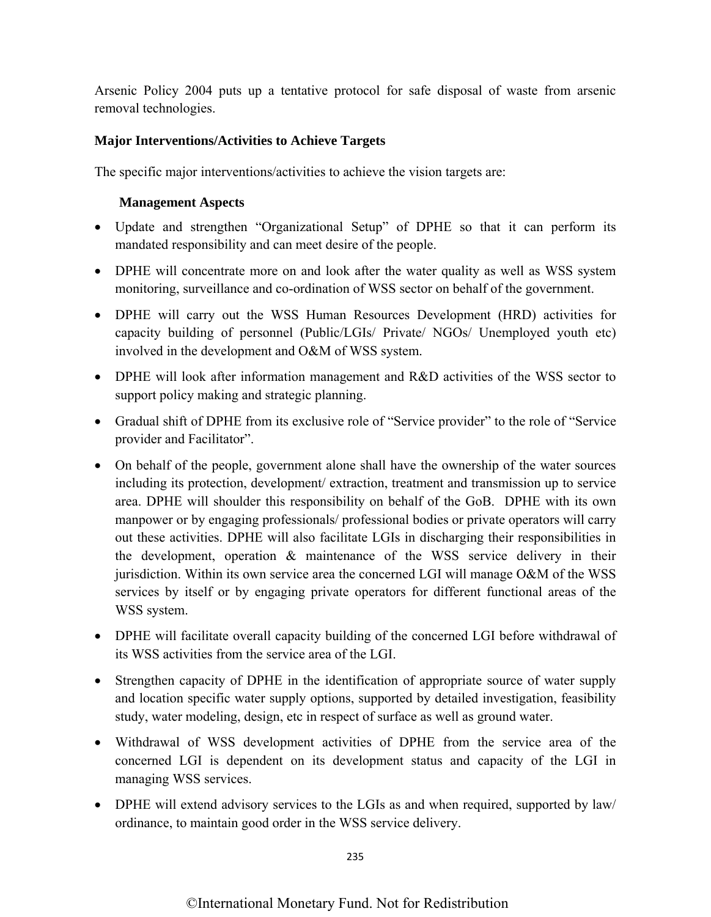Arsenic Policy 2004 puts up a tentative protocol for safe disposal of waste from arsenic removal technologies.

## **Major Interventions/Activities to Achieve Targets**

The specific major interventions/activities to achieve the vision targets are:

#### **Management Aspects**

- Update and strengthen "Organizational Setup" of DPHE so that it can perform its mandated responsibility and can meet desire of the people.
- DPHE will concentrate more on and look after the water quality as well as WSS system monitoring, surveillance and co-ordination of WSS sector on behalf of the government.
- DPHE will carry out the WSS Human Resources Development (HRD) activities for capacity building of personnel (Public/LGIs/ Private/ NGOs/ Unemployed youth etc) involved in the development and O&M of WSS system.
- DPHE will look after information management and R&D activities of the WSS sector to support policy making and strategic planning.
- Gradual shift of DPHE from its exclusive role of "Service provider" to the role of "Service provider and Facilitator".
- On behalf of the people, government alone shall have the ownership of the water sources including its protection, development/ extraction, treatment and transmission up to service area. DPHE will shoulder this responsibility on behalf of the GoB. DPHE with its own manpower or by engaging professionals/ professional bodies or private operators will carry out these activities. DPHE will also facilitate LGIs in discharging their responsibilities in the development, operation & maintenance of the WSS service delivery in their jurisdiction. Within its own service area the concerned LGI will manage O&M of the WSS services by itself or by engaging private operators for different functional areas of the WSS system.
- DPHE will facilitate overall capacity building of the concerned LGI before withdrawal of its WSS activities from the service area of the LGI.
- Strengthen capacity of DPHE in the identification of appropriate source of water supply and location specific water supply options, supported by detailed investigation, feasibility study, water modeling, design, etc in respect of surface as well as ground water.
- Withdrawal of WSS development activities of DPHE from the service area of the concerned LGI is dependent on its development status and capacity of the LGI in managing WSS services.
- DPHE will extend advisory services to the LGIs as and when required, supported by law/ ordinance, to maintain good order in the WSS service delivery.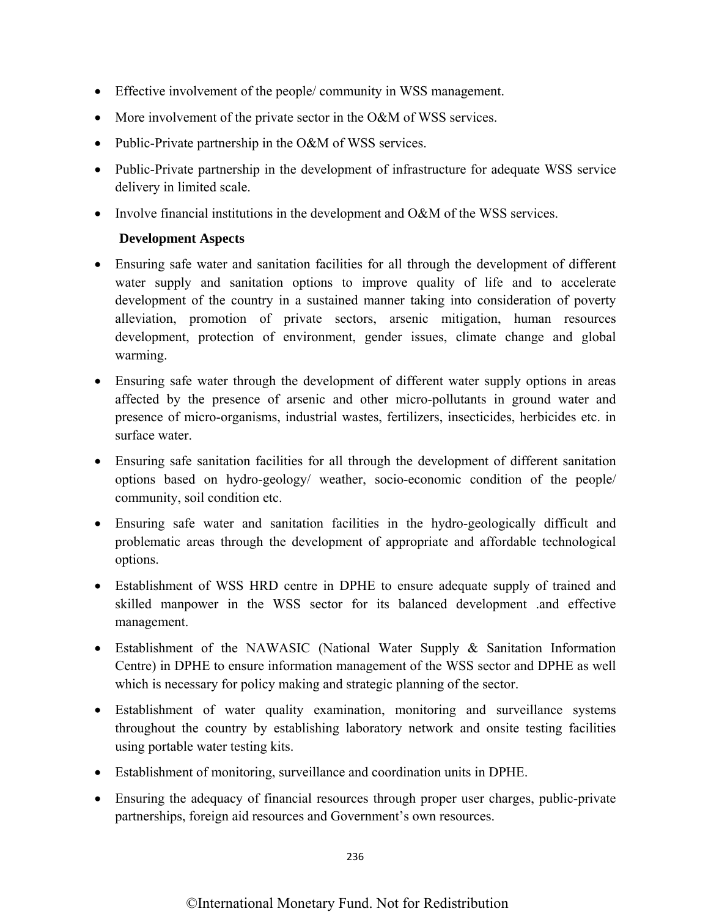- Effective involvement of the people/ community in WSS management.
- More involvement of the private sector in the O&M of WSS services.
- Public-Private partnership in the O&M of WSS services.
- Public-Private partnership in the development of infrastructure for adequate WSS service delivery in limited scale.
- Involve financial institutions in the development and O&M of the WSS services.

## **Development Aspects**

- Ensuring safe water and sanitation facilities for all through the development of different water supply and sanitation options to improve quality of life and to accelerate development of the country in a sustained manner taking into consideration of poverty alleviation, promotion of private sectors, arsenic mitigation, human resources development, protection of environment, gender issues, climate change and global warming.
- Ensuring safe water through the development of different water supply options in areas affected by the presence of arsenic and other micro-pollutants in ground water and presence of micro-organisms, industrial wastes, fertilizers, insecticides, herbicides etc. in surface water.
- Ensuring safe sanitation facilities for all through the development of different sanitation options based on hydro-geology/ weather, socio-economic condition of the people/ community, soil condition etc.
- Ensuring safe water and sanitation facilities in the hydro-geologically difficult and problematic areas through the development of appropriate and affordable technological options.
- Establishment of WSS HRD centre in DPHE to ensure adequate supply of trained and skilled manpower in the WSS sector for its balanced development .and effective management.
- Establishment of the NAWASIC (National Water Supply & Sanitation Information Centre) in DPHE to ensure information management of the WSS sector and DPHE as well which is necessary for policy making and strategic planning of the sector.
- Establishment of water quality examination, monitoring and surveillance systems throughout the country by establishing laboratory network and onsite testing facilities using portable water testing kits.
- Establishment of monitoring, surveillance and coordination units in DPHE.
- Ensuring the adequacy of financial resources through proper user charges, public-private partnerships, foreign aid resources and Government's own resources.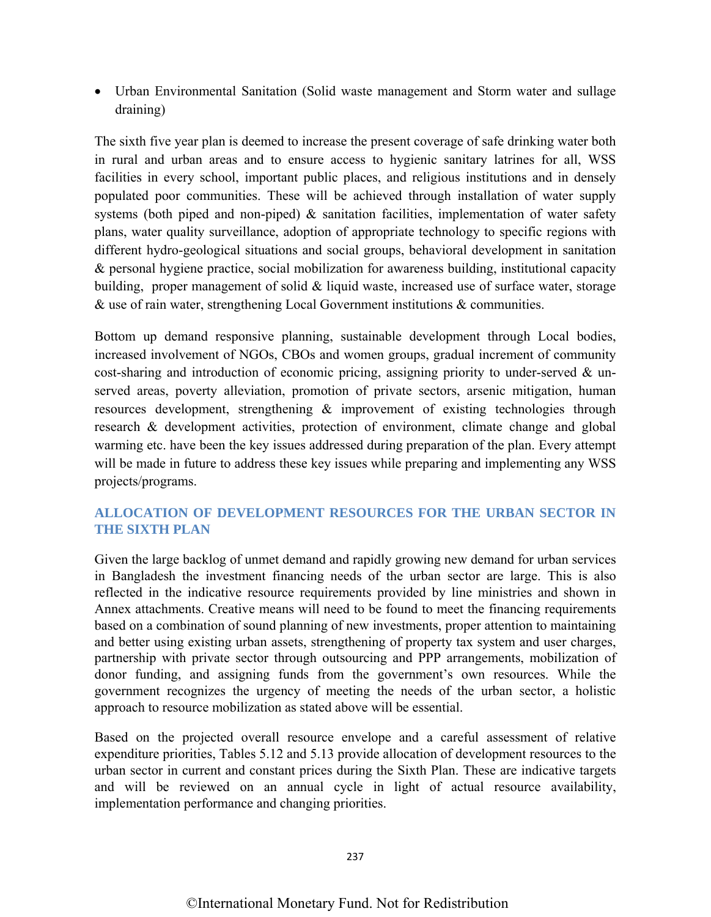• Urban Environmental Sanitation (Solid waste management and Storm water and sullage draining)

The sixth five year plan is deemed to increase the present coverage of safe drinking water both in rural and urban areas and to ensure access to hygienic sanitary latrines for all, WSS facilities in every school, important public places, and religious institutions and in densely populated poor communities. These will be achieved through installation of water supply systems (both piped and non-piped)  $\&$  sanitation facilities, implementation of water safety plans, water quality surveillance, adoption of appropriate technology to specific regions with different hydro-geological situations and social groups, behavioral development in sanitation & personal hygiene practice, social mobilization for awareness building, institutional capacity building, proper management of solid  $\&$  liquid waste, increased use of surface water, storage & use of rain water, strengthening Local Government institutions & communities.

Bottom up demand responsive planning, sustainable development through Local bodies, increased involvement of NGOs, CBOs and women groups, gradual increment of community cost-sharing and introduction of economic pricing, assigning priority to under-served & unserved areas, poverty alleviation, promotion of private sectors, arsenic mitigation, human resources development, strengthening & improvement of existing technologies through research & development activities, protection of environment, climate change and global warming etc. have been the key issues addressed during preparation of the plan. Every attempt will be made in future to address these key issues while preparing and implementing any WSS projects/programs.

## **[ALLOCATION OF DEVELOPMENT RESOURCES FOR THE URBAN SECTOR IN](#page--1-0) THE SIXTH PLAN**

Given the large backlog of unmet demand and rapidly growing new demand for urban services in Bangladesh the investment financing needs of the urban sector are large. This is also reflected in the indicative resource requirements provided by line ministries and shown in Annex attachments. Creative means will need to be found to meet the financing requirements based on a combination of sound planning of new investments, proper attention to maintaining and better using existing urban assets, strengthening of property tax system and user charges, partnership with private sector through outsourcing and PPP arrangements, mobilization of donor funding, and assigning funds from the government's own resources. While the government recognizes the urgency of meeting the needs of the urban sector, a holistic approach to resource mobilization as stated above will be essential.

Based on the projected overall resource envelope and a careful assessment of relative expenditure priorities, Tables 5.12 and 5.13 provide allocation of development resources to the urban sector in current and constant prices during the Sixth Plan. These are indicative targets and will be reviewed on an annual cycle in light of actual resource availability, implementation performance and changing priorities.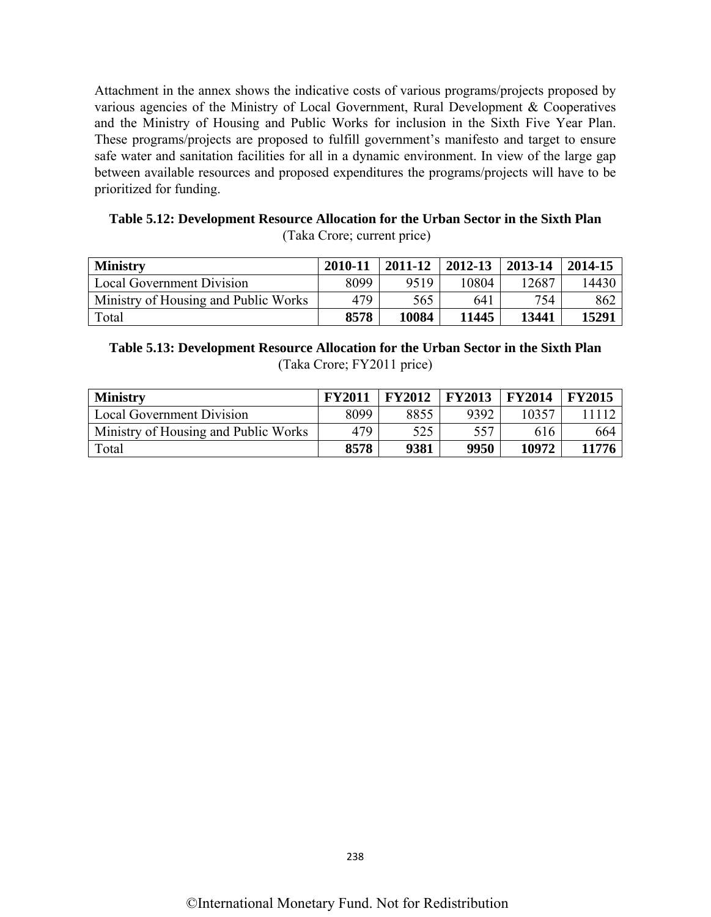Attachment in the annex shows the indicative costs of various programs/projects proposed by various agencies of the Ministry of Local Government, Rural Development & Cooperatives and the Ministry of Housing and Public Works for inclusion in the Sixth Five Year Plan. These programs/projects are proposed to fulfill government's manifesto and target to ensure safe water and sanitation facilities for all in a dynamic environment. In view of the large gap between available resources and proposed expenditures the programs/projects will have to be prioritized for funding.

#### **[Table 5.12: Development Resource Allocation for the Urban Sector in the Sixth Plan](#page--1-0)**  (Taka Crore; current price)

| <b>Ministry</b>                      | 2010-11 | 2011-12 | 2012-13 | 2013-14 | 2014-15 |
|--------------------------------------|---------|---------|---------|---------|---------|
| <b>Local Government Division</b>     | 8099    | 9519    | 10804   | 12687   | 14430   |
| Ministry of Housing and Public Works | 479     | 565     | 641     | 754     | 862     |
| Total                                | 8578    | 10084   | 11445   | 13441   | 15291   |

## **[Table 5.13: Development Resource Allocation for the Urban Sector in the Sixth Plan](#page--1-0)**  (Taka Crore; FY2011 price)

| <b>Ministry</b>                      | <b>FY2011</b> | <b>FY2012</b> | <b>FY2013</b> | <b>FY2014</b> | <b>FY2015</b> |
|--------------------------------------|---------------|---------------|---------------|---------------|---------------|
| <b>Local Government Division</b>     | 8099          | 8855          | 9392          | 10357         |               |
| Ministry of Housing and Public Works | 479           | 525           | 557           | 616           | 664           |
| Total                                | 8578          | 9381          | 9950          | 10972         | 11776         |